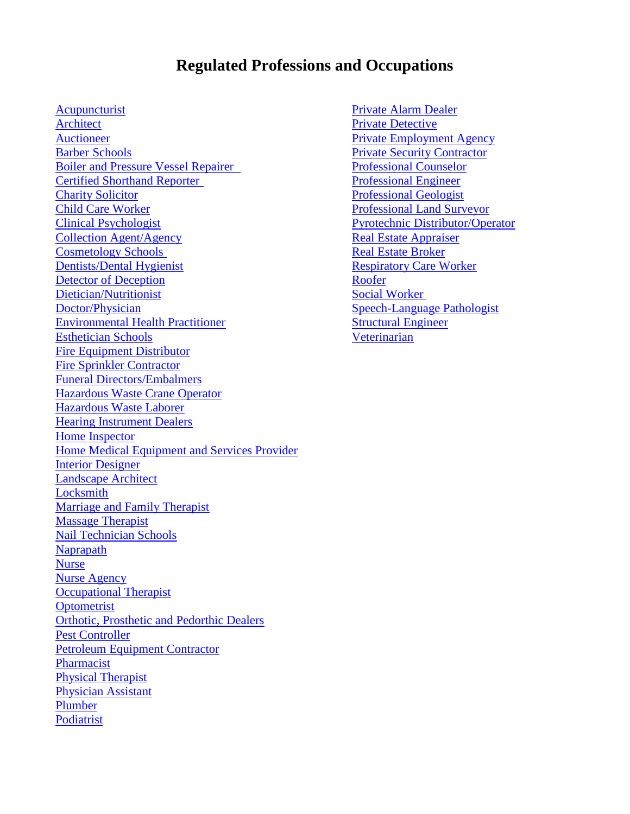# **Regulated Professions and Occupations**

[Acupuncturist](#page-1-0) **[Private Alarm Dealer](#page-24-0)** Private Alarm Dealer [Architect](#page-1-1) [Private Detective](#page-25-0) [Auctioneer](#page-1-2) [Private Employment Agency](#page-25-1) Barber [Schools](#page-2-0) [Private Security Contractor](#page-27-0) [Boiler and Pressure Vessel Repairer](#page-2-1) [Professional Counselor](#page-28-0) [Certified Shorthand Reporter](#page-2-2) [Professional Engineer](#page-28-1) [Charity Solicitor](#page-2-3) [Professional Geologist](#page-28-2) [Child Care Worker](#page-3-0) [Professional Land Surveyor](#page-29-0) [Clinical Psychologist](#page-4-0) [Pyrotechnic Distributor/Operator](#page-29-1) **[Collection Agent/Agency](#page-4-1)** [Real Estate Appraiser](#page-29-2) **[Cosmetology Schools](#page-4-2) [Real Estate Broker](#page-29-3)** [Dentists/Dental Hygienist](#page-4-3) [Respiratory Care Worker](#page-32-0) [Detector of Deception](#page-7-0) [Roofer](#page-32-1) [Dietician/Nutritionist](#page-7-1) [Social Worker](#page-32-2) [Doctor/Physician](#page-8-0) [Speech-Language Pathologist](#page-33-0) [Environmental Health Practitioner](#page-9-0) [Structural Engineer](#page-33-1) [Esthetician Schools](#page-9-1) [Veterinarian](#page-33-2) [Fire Equipment Distributor](#page-9-2) [Fire Sprinkler Contractor](#page-9-3) [Funeral Directors/Embalmers](#page-10-0) [Hazardous Waste Crane Operator](#page-12-0) [Hazardous Waste Laborer](#page-12-1) [Hearing Instrument Dealers](#page-12-2) [Home Inspector](#page-13-0) [Home Medical Equipment and Services Provider](#page-13-1) [Interior Designer](#page-14-0) [Landscape Architect](#page-14-1) **[Locksmith](#page-14-2)** [Marriage and Family Therapist](#page-15-0) [Massage Therapist](#page-15-1) [Nail Technician Schools](#page-15-2) [Naprapath](#page-15-3) [Nurse](#page-16-0) [Nurse Agency](#page-17-0) [Occupational Therapist](#page-17-1) **[Optometrist](#page-18-0)** [Orthotic, Prosthetic and Pedorthic Dealers](#page-19-0) [Pest Controller](#page-19-1) [Petroleum Equipment Contractor](#page-19-2) [Pharmacist](#page-20-0) [Physical Therapist](#page-20-1) [Physician Assistant](#page-21-0) [Plumber](#page-21-1) [Podiatrist](#page-22-0)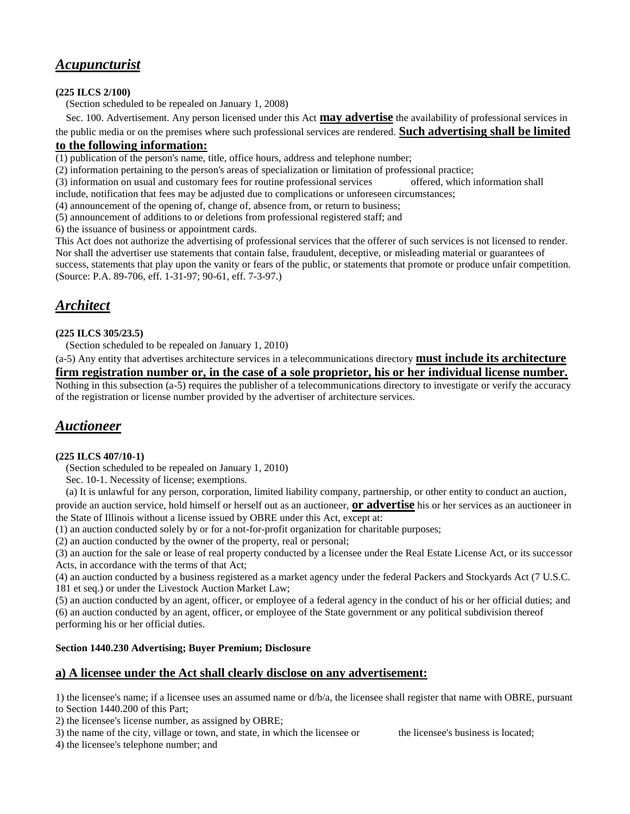# <span id="page-1-0"></span>*Acupuncturist*

**(225 ILCS 2/100)**

(Section scheduled to be repealed on January 1, 2008)

Sec. 100. Advertisement. Any person licensed under this Act **may advertise** the availability of professional services in

the public media or on the premises where such professional services are rendered. **Such advertising shall be limited to the following information:** 

(1) publication of the person's name, title, office hours, address and telephone number;

(2) information pertaining to the person's areas of specialization or limitation of professional practice;

(3) information on usual and customary fees for routine professional services offered, which information shall

include, notification that fees may be adjusted due to complications or unforeseen circumstances;

(4) announcement of the opening of, change of, absence from, or return to business;

(5) announcement of additions to or deletions from professional registered staff; and

6) the issuance of business or appointment cards.

This Act does not authorize the advertising of professional services that the offerer of such services is not licensed to render. Nor shall the advertiser use statements that contain false, fraudulent, deceptive, or misleading material or guarantees of success, statements that play upon the vanity or fears of the public, or statements that promote or produce unfair competition. (Source: P.A. 89-706, eff. 1-31-97; 90-61, eff. 7-3-97.)

# <span id="page-1-1"></span>*Architect*

#### **(225 ILCS 305/23.5)**

(Section scheduled to be repealed on January 1, 2010)

(a-5) Any entity that advertises architecture services in a telecommunications directory **must include its architecture** 

# **firm registration number or, in the case of a sole proprietor, his or her individual license number.**

Nothing in this subsection (a-5) requires the publisher of a telecommunications directory to investigate or verify the accuracy of the registration or license number provided by the advertiser of architecture services.

# <span id="page-1-2"></span>*Auctioneer*

### **(225 ILCS 407/10-1)**

(Section scheduled to be repealed on January 1, 2010)

Sec. 10-1. Necessity of license; exemptions.

(a) It is unlawful for any person, corporation, limited liability company, partnership, or other entity to conduct an auction,

provide an auction service, hold himself or herself out as an auctioneer, **or advertise** his or her services as an auctioneer in the State of Illinois without a license issued by OBRE under this Act, except at:

(1) an auction conducted solely by or for a not-for-profit organization for charitable purposes;

(2) an auction conducted by the owner of the property, real or personal;

(3) an auction for the sale or lease of real property conducted by a licensee under the Real Estate License Act, or its successor Acts, in accordance with the terms of that Act;

(4) an auction conducted by a business registered as a market agency under the federal Packers and Stockyards Act (7 U.S.C. 181 et seq.) or under the Livestock Auction Market Law;

(5) an auction conducted by an agent, officer, or employee of a federal agency in the conduct of his or her official duties; and (6) an auction conducted by an agent, officer, or employee of the State government or any political subdivision thereof performing his or her official duties.

### **Section 1440.230 Advertising; Buyer Premium; Disclosure**

### **a) A licensee under the Act shall clearly disclose on any advertisement:**

1) the licensee's name; if a licensee uses an assumed name or  $d/b/a$ , the licensee shall register that name with OBRE, pursuant to Section 1440.200 of this Part;

2) the licensee's license number, as assigned by OBRE;

3) the name of the city, village or town, and state, in which the licensee or the licensee's business is located;

4) the licensee's telephone number; and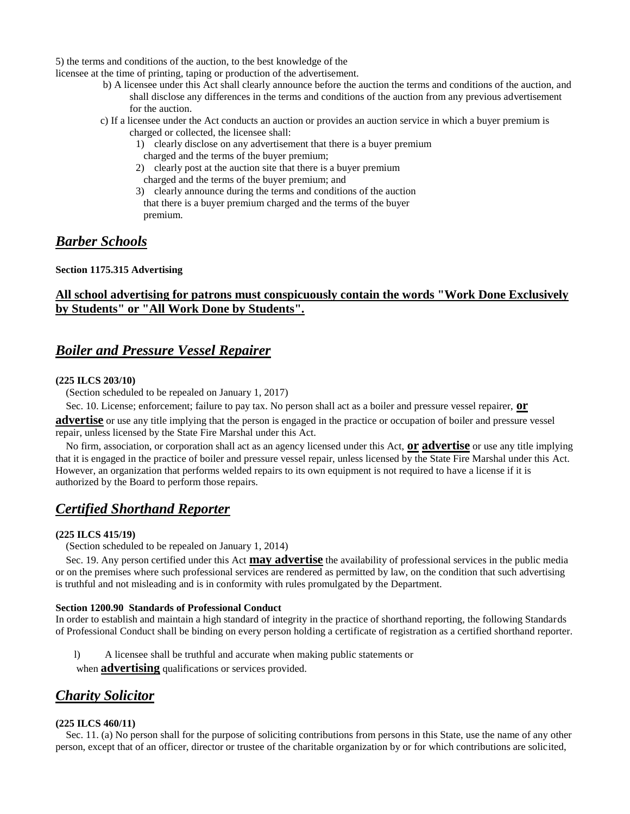5) the terms and conditions of the auction, to the best knowledge of the

licensee at the time of printing, taping or production of the advertisement.

- b) A licensee under this Act shall clearly announce before the auction the terms and conditions of the auction, and shall disclose any differences in the terms and conditions of the auction from any previous advertisement for the auction.
- c) If a licensee under the Act conducts an auction or provides an auction service in which a buyer premium is charged or collected, the licensee shall:
	- 1) clearly disclose on any advertisement that there is a buyer premium charged and the terms of the buyer premium;
	- 2) clearly post at the auction site that there is a buyer premium charged and the terms of the buyer premium; and
	- 3) clearly announce during the terms and conditions of the auction that there is a buyer premium charged and the terms of the buyer premium.

# <span id="page-2-0"></span>*Barber Schools*

#### **Section 1175.315 Advertising**

### **All school advertising for patrons must conspicuously contain the words "Work Done Exclusively by Students" or "All Work Done by Students".**

## <span id="page-2-1"></span>*Boiler and Pressure Vessel Repairer*

#### **(225 ILCS 203/10)**

(Section scheduled to be repealed on January 1, 2017)

Sec. 10. License; enforcement; failure to pay tax. No person shall act as a boiler and pressure vessel repairer, **or** 

**advertise** or use any title implying that the person is engaged in the practice or occupation of boiler and pressure vessel repair, unless licensed by the State Fire Marshal under this Act.

 No firm, association, or corporation shall act as an agency licensed under this Act, **or advertise** or use any title implying that it is engaged in the practice of boiler and pressure vessel repair, unless licensed by the State Fire Marshal under this Act. However, an organization that performs welded repairs to its own equipment is not required to have a license if it is authorized by the Board to perform those repairs.

### <span id="page-2-2"></span>*Certified Shorthand Reporter*

#### **(225 ILCS 415/19)**

(Section scheduled to be repealed on January 1, 2014)

 Sec. 19. Any person certified under this Act **may advertise** the availability of professional services in the public media or on the premises where such professional services are rendered as permitted by law, on the condition that such advertising is truthful and not misleading and is in conformity with rules promulgated by the Department.

#### **Section 1200.90 Standards of Professional Conduct**

In order to establish and maintain a high standard of integrity in the practice of shorthand reporting, the following Standards of Professional Conduct shall be binding on every person holding a certificate of registration as a certified shorthand reporter.

l) A licensee shall be truthful and accurate when making public statements or

when **advertising** qualifications or services provided.

### <span id="page-2-3"></span>*Charity Solicitor*

#### **(225 ILCS 460/11)**

 Sec. 11. (a) No person shall for the purpose of soliciting contributions from persons in this State, use the name of any other person, except that of an officer, director or trustee of the charitable organization by or for which contributions are solicited,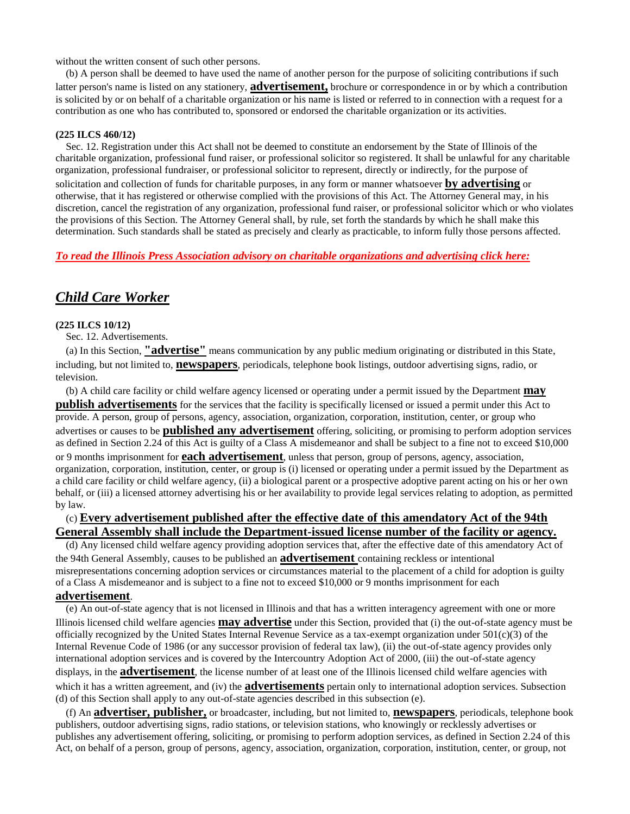without the written consent of such other persons.

 (b) A person shall be deemed to have used the name of another person for the purpose of soliciting contributions if such latter person's name is listed on any stationery, **advertisement,** brochure or correspondence in or by which a contribution is solicited by or on behalf of a charitable organization or his name is listed or referred to in connection with a request for a contribution as one who has contributed to, sponsored or endorsed the charitable organization or its activities.

#### **(225 ILCS 460/12)**

 Sec. 12. Registration under this Act shall not be deemed to constitute an endorsement by the State of Illinois of the charitable organization, professional fund raiser, or professional solicitor so registered. It shall be unlawful for any charitable organization, professional fundraiser, or professional solicitor to represent, directly or indirectly, for the purpose of solicitation and collection of funds for charitable purposes, in any form or manner whatsoever **by advertising** or otherwise, that it has registered or otherwise complied with the provisions of this Act. The Attorney General may, in his discretion, cancel the registration of any organization, professional fund raiser, or professional solicitor which or who violates the provisions of this Section. The Attorney General shall, by rule, set forth the standards by which he shall make this determination. Such standards shall be stated as precisely and clearly as practicable, to inform fully those persons affected.

#### *To read the Illinois Press Association advisory on charitable organizations and advertising click here:*

### <span id="page-3-0"></span>*Child Care Worker*

#### **(225 ILCS 10/12)**

Sec. 12. Advertisements.

 (a) In this Section, **"advertise"** means communication by any public medium originating or distributed in this State, including, but not limited to, **newspapers**, periodicals, telephone book listings, outdoor advertising signs, radio, or television.

 (b) A child care facility or child welfare agency licensed or operating under a permit issued by the Department **may publish advertisements** for the services that the facility is specifically licensed or issued a permit under this Act to provide. A person, group of persons, agency, association, organization, corporation, institution, center, or group who advertises or causes to be **published any advertisement** offering, soliciting, or promising to perform adoption services as defined in Section 2.24 of this Act is guilty of a Class A misdemeanor and shall be subject to a fine not to exceed \$10,000 or 9 months imprisonment for **each advertisement**, unless that person, group of persons, agency, association, organization, corporation, institution, center, or group is (i) licensed or operating under a permit issued by the Department as a child care facility or child welfare agency, (ii) a biological parent or a prospective adoptive parent acting on his or her own behalf, or (iii) a licensed attorney advertising his or her availability to provide legal services relating to adoption, as permitted by law.

### (c) **Every advertisement published after the effective date of this amendatory Act of the 94th General Assembly shall include the Department-issued license number of the facility or agency.**

 (d) Any licensed child welfare agency providing adoption services that, after the effective date of this amendatory Act of the 94th General Assembly, causes to be published an **advertisement** containing reckless or intentional misrepresentations concerning adoption services or circumstances material to the placement of a child for adoption is guilty of a Class A misdemeanor and is subject to a fine not to exceed \$10,000 or 9 months imprisonment for each **advertisement**.

 (e) An out-of-state agency that is not licensed in Illinois and that has a written interagency agreement with one or more Illinois licensed child welfare agencies **may advertise** under this Section, provided that (i) the out-of-state agency must be officially recognized by the United States Internal Revenue Service as a tax-exempt organization under  $501(c)(3)$  of the Internal Revenue Code of 1986 (or any successor provision of federal tax law), (ii) the out-of-state agency provides only international adoption services and is covered by the Intercountry Adoption Act of 2000, (iii) the out-of-state agency displays, in the **advertisement**, the license number of at least one of the Illinois licensed child welfare agencies with which it has a written agreement, and (iv) the **advertisements** pertain only to international adoption services. Subsection (d) of this Section shall apply to any out-of-state agencies described in this subsection (e).

 (f) An **advertiser, publisher,** or broadcaster, including, but not limited to, **newspapers**, periodicals, telephone book publishers, outdoor advertising signs, radio stations, or television stations, who knowingly or recklessly advertises or publishes any advertisement offering, soliciting, or promising to perform adoption services, as defined in Section 2.24 of this Act, on behalf of a person, group of persons, agency, association, organization, corporation, institution, center, or group, not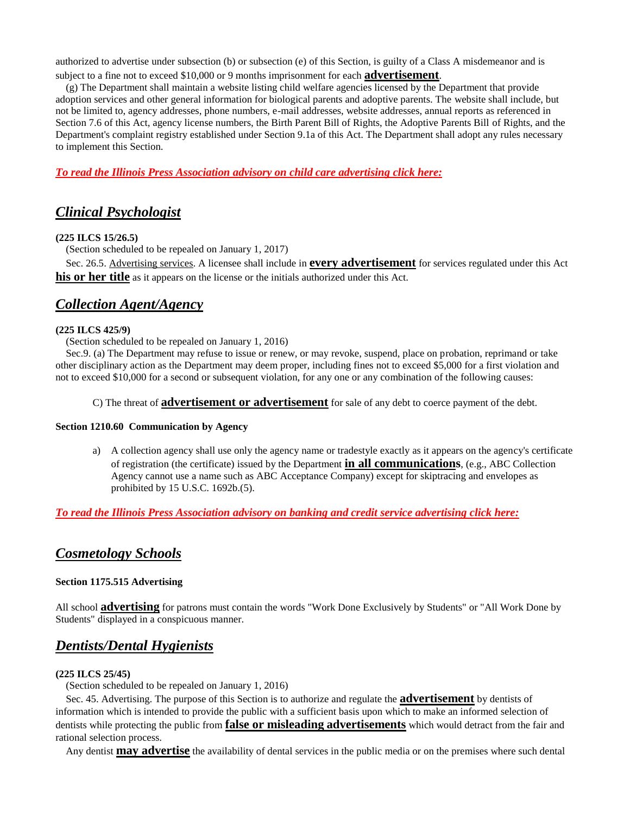authorized to advertise under subsection (b) or subsection (e) of this Section, is guilty of a Class A misdemeanor and is subject to a fine not to exceed \$10,000 or 9 months imprisonment for each **advertisement**.

 (g) The Department shall maintain a website listing child welfare agencies licensed by the Department that provide adoption services and other general information for biological parents and adoptive parents. The website shall include, but not be limited to, agency addresses, phone numbers, e-mail addresses, website addresses, annual reports as referenced in Section 7.6 of this Act, agency license numbers, the Birth Parent Bill of Rights, the Adoptive Parents Bill of Rights, and the Department's complaint registry established under Section 9.1a of this Act. The Department shall adopt any rules necessary to implement this Section.

*To read the Illinois Press Association advisory on child care advertising click here:*

# <span id="page-4-0"></span>*Clinical Psychologist*

#### **(225 ILCS 15/26.5)**

(Section scheduled to be repealed on January 1, 2017)

 Sec. 26.5. Advertising services. A licensee shall include in **every advertisement** for services regulated under this Act **his or her title** as it appears on the license or the initials authorized under this Act.

## <span id="page-4-1"></span>*Collection Agent/Agency*

#### **(225 ILCS 425/9)**

(Section scheduled to be repealed on January 1, 2016)

 Sec.9. (a) The Department may refuse to issue or renew, or may revoke, suspend, place on probation, reprimand or take other disciplinary action as the Department may deem proper, including fines not to exceed \$5,000 for a first violation and not to exceed \$10,000 for a second or subsequent violation, for any one or any combination of the following causes:

#### C) The threat of **advertisement or advertisement** for sale of any debt to coerce payment of the debt.

#### **Section 1210.60 Communication by Agency**

a) A collection agency shall use only the agency name or tradestyle exactly as it appears on the agency's certificate of registration (the certificate) issued by the Department **in all communications**, (e.g., ABC Collection Agency cannot use a name such as ABC Acceptance Company) except for skiptracing and envelopes as prohibited by 15 U.S.C. 1692b.(5).

*To read the Illinois Press Association advisory on banking and credit service advertising click here:*

### <span id="page-4-2"></span>*[Cosmetology Schools](#page-4-2)*

#### **Section 1175.515 Advertising**

All school **advertising** for patrons must contain the words "Work Done Exclusively by Students" or "All Work Done by Students" displayed in a conspicuous manner.

# <span id="page-4-3"></span>*Dentists/Dental Hygienists*

#### **(225 ILCS 25/45)**

(Section scheduled to be repealed on January 1, 2016)

 Sec. 45. Advertising. The purpose of this Section is to authorize and regulate the **advertisement** by dentists of information which is intended to provide the public with a sufficient basis upon which to make an informed selection of dentists while protecting the public from **false or misleading advertisements** which would detract from the fair and rational selection process.

Any dentist **may advertise** the availability of dental services in the public media or on the premises where such dental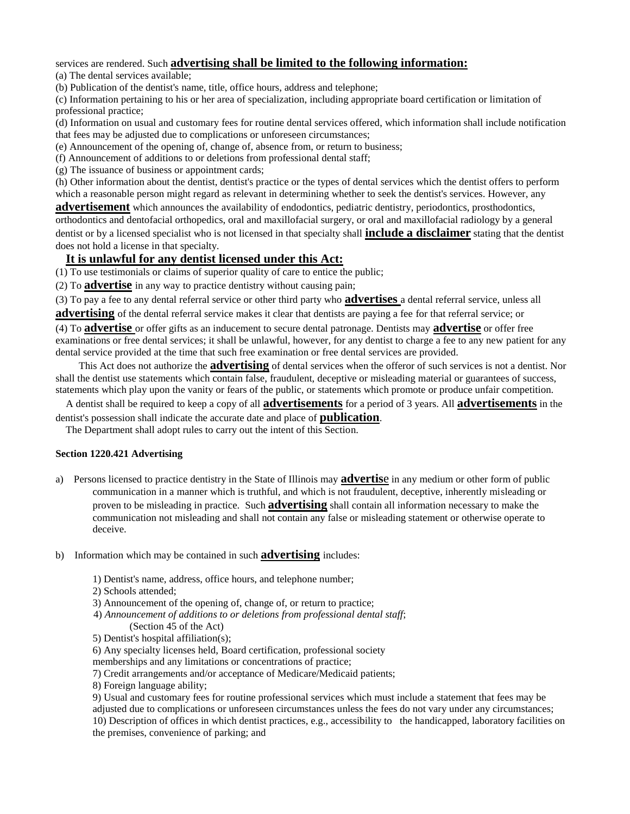services are rendered. Such **advertising shall be limited to the following information:** 

(a) The dental services available;

(b) Publication of the dentist's name, title, office hours, address and telephone;

(c) Information pertaining to his or her area of specialization, including appropriate board certification or limitation of professional practice;

(d) Information on usual and customary fees for routine dental services offered, which information shall include notification that fees may be adjusted due to complications or unforeseen circumstances;

(e) Announcement of the opening of, change of, absence from, or return to business;

(f) Announcement of additions to or deletions from professional dental staff;

(g) The issuance of business or appointment cards;

(h) Other information about the dentist, dentist's practice or the types of dental services which the dentist offers to perform which a reasonable person might regard as relevant in determining whether to seek the dentist's services. However, any

**advertisement** which announces the availability of endodontics, pediatric dentistry, periodontics, prosthodontics, orthodontics and dentofacial orthopedics, oral and maxillofacial surgery, or oral and maxillofacial radiology by a general dentist or by a licensed specialist who is not licensed in that specialty shall **include a disclaimer** stating that the dentist does not hold a license in that specialty.

### **It is unlawful for any dentist licensed under this Act:**

(1) To use testimonials or claims of superior quality of care to entice the public;

(2) To **advertise** in any way to practice dentistry without causing pain;

(3) To pay a fee to any dental referral service or other third party who **advertises** a dental referral service, unless all

**advertising** of the dental referral service makes it clear that dentists are paying a fee for that referral service; or

(4) To **advertise** or offer gifts as an inducement to secure dental patronage. Dentists may **advertise** or offer free examinations or free dental services; it shall be unlawful, however, for any dentist to charge a fee to any new patient for any dental service provided at the time that such free examination or free dental services are provided.

 This Act does not authorize the **advertising** of dental services when the offeror of such services is not a dentist. Nor shall the dentist use statements which contain false, fraudulent, deceptive or misleading material or guarantees of success, statements which play upon the vanity or fears of the public, or statements which promote or produce unfair competition.

 A dentist shall be required to keep a copy of all **advertisements** for a period of 3 years. All **advertisements** in the dentist's possession shall indicate the accurate date and place of **publication**.

The Department shall adopt rules to carry out the intent of this Section.

#### **Section 1220.421 Advertising**

- a) Persons licensed to practice dentistry in the State of Illinois may **advertis**e in any medium or other form of public communication in a manner which is truthful, and which is not fraudulent, deceptive, inherently misleading or proven to be misleading in practice. Such **advertising** shall contain all information necessary to make the communication not misleading and shall not contain any false or misleading statement or otherwise operate to deceive.
- b) Information which may be contained in such **advertising** includes:
	- 1) Dentist's name, address, office hours, and telephone number;
	- 2) Schools attended;
	- 3) Announcement of the opening of, change of, or return to practice;
	- 4) *Announcement of additions to or deletions from professional dental staff*; (Section 45 of the Act)
	- 5) Dentist's hospital affiliation(s);
	- 6) Any specialty licenses held, Board certification, professional society
	- memberships and any limitations or concentrations of practice;
	- 7) Credit arrangements and/or acceptance of Medicare/Medicaid patients;
	- 8) Foreign language ability;

9) Usual and customary fees for routine professional services which must include a statement that fees may be adjusted due to complications or unforeseen circumstances unless the fees do not vary under any circumstances; 10) Description of offices in which dentist practices, e.g., accessibility to the handicapped, laboratory facilities on the premises, convenience of parking; and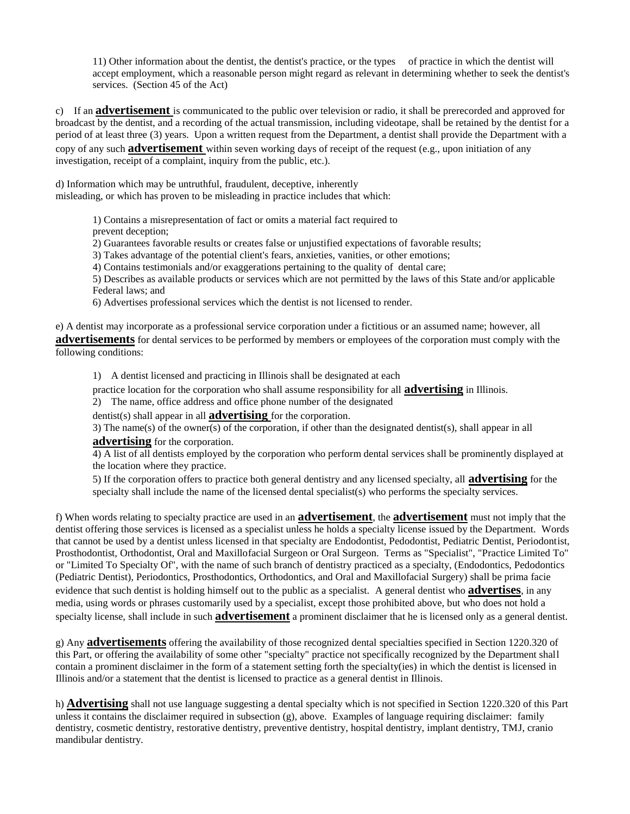11) Other information about the dentist, the dentist's practice, or the types of practice in which the dentist will accept employment, which a reasonable person might regard as relevant in determining whether to seek the dentist's services. (Section 45 of the Act)

c) If an **advertisement** is communicated to the public over television or radio, it shall be prerecorded and approved for broadcast by the dentist, and a recording of the actual transmission, including videotape, shall be retained by the dentist for a period of at least three (3) years. Upon a written request from the Department, a dentist shall provide the Department with a copy of any such **advertisement** within seven working days of receipt of the request (e.g., upon initiation of any investigation, receipt of a complaint, inquiry from the public, etc.).

d) Information which may be untruthful, fraudulent, deceptive, inherently misleading, or which has proven to be misleading in practice includes that which:

> 1) Contains a misrepresentation of fact or omits a material fact required to prevent deception;

2) Guarantees favorable results or creates false or unjustified expectations of favorable results;

3) Takes advantage of the potential client's fears, anxieties, vanities, or other emotions;

4) Contains testimonials and/or exaggerations pertaining to the quality of dental care;

5) Describes as available products or services which are not permitted by the laws of this State and/or applicable Federal laws; and

6) Advertises professional services which the dentist is not licensed to render.

e) A dentist may incorporate as a professional service corporation under a fictitious or an assumed name; however, all

**advertisements** for dental services to be performed by members or employees of the corporation must comply with the following conditions:

1) A dentist licensed and practicing in Illinois shall be designated at each

practice location for the corporation who shall assume responsibility for all **advertising** in Illinois.

2) The name, office address and office phone number of the designated

dentist(s) shall appear in all **advertising** for the corporation.

3) The name(s) of the owner(s) of the corporation, if other than the designated dentist(s), shall appear in all **advertising** for the corporation.

4) A list of all dentists employed by the corporation who perform dental services shall be prominently displayed at the location where they practice.

5) If the corporation offers to practice both general dentistry and any licensed specialty, all **advertising** for the specialty shall include the name of the licensed dental specialist(s) who performs the specialty services.

f) When words relating to specialty practice are used in an **advertisement**, the **advertisement** must not imply that the dentist offering those services is licensed as a specialist unless he holds a specialty license issued by the Department. Words that cannot be used by a dentist unless licensed in that specialty are Endodontist, Pedodontist, Pediatric Dentist, Periodontist, Prosthodontist, Orthodontist, Oral and Maxillofacial Surgeon or Oral Surgeon. Terms as "Specialist", "Practice Limited To" or "Limited To Specialty Of", with the name of such branch of dentistry practiced as a specialty, (Endodontics, Pedodontics (Pediatric Dentist), Periodontics, Prosthodontics, Orthodontics, and Oral and Maxillofacial Surgery) shall be prima facie evidence that such dentist is holding himself out to the public as a specialist. A general dentist who **advertises**, in any media, using words or phrases customarily used by a specialist, except those prohibited above, but who does not hold a specialty license, shall include in such **advertisement** a prominent disclaimer that he is licensed only as a general dentist.

g) Any **advertisements** offering the availability of those recognized dental specialties specified in Section 1220.320 of this Part, or offering the availability of some other "specialty" practice not specifically recognized by the Department shall contain a prominent disclaimer in the form of a statement setting forth the specialty(ies) in which the dentist is licensed in Illinois and/or a statement that the dentist is licensed to practice as a general dentist in Illinois.

h) **Advertising** shall not use language suggesting a dental specialty which is not specified in Section 1220.320 of this Part unless it contains the disclaimer required in subsection  $(g)$ , above. Examples of language requiring disclaimer: family dentistry, cosmetic dentistry, restorative dentistry, preventive dentistry, hospital dentistry, implant dentistry, TMJ, cranio mandibular dentistry.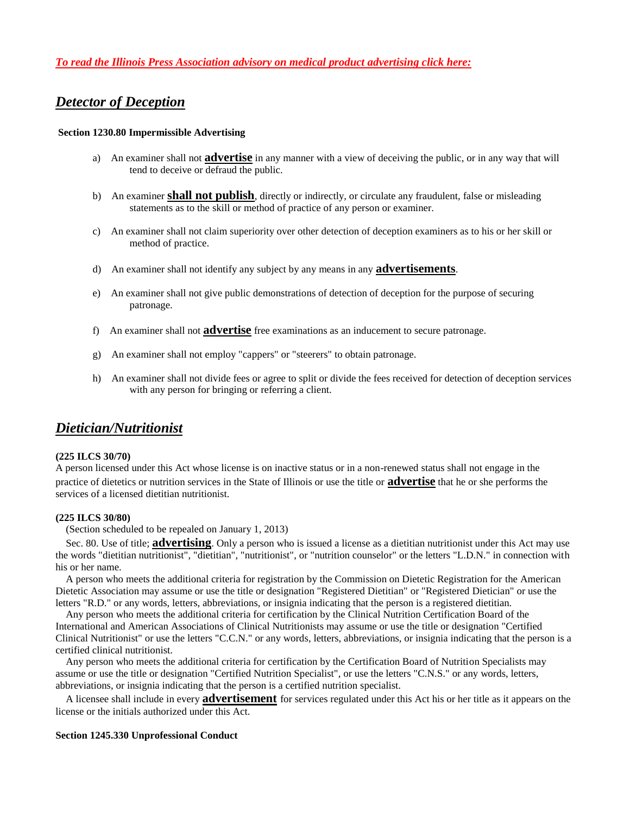### <span id="page-7-0"></span>*Detector of Deception*

#### **Section 1230.80 Impermissible Advertising**

- a) An examiner shall not **advertise** in any manner with a view of deceiving the public, or in any way that will tend to deceive or defraud the public.
- b) An examiner **shall not publish**, directly or indirectly, or circulate any fraudulent, false or misleading statements as to the skill or method of practice of any person or examiner.
- c) An examiner shall not claim superiority over other detection of deception examiners as to his or her skill or method of practice.
- d) An examiner shall not identify any subject by any means in any **advertisements**.
- e) An examiner shall not give public demonstrations of detection of deception for the purpose of securing patronage.
- f) An examiner shall not **advertise** free examinations as an inducement to secure patronage.
- g) An examiner shall not employ "cappers" or "steerers" to obtain patronage.
- h) An examiner shall not divide fees or agree to split or divide the fees received for detection of deception services with any person for bringing or referring a client.

### <span id="page-7-1"></span>*Dietician/Nutritionist*

#### **(225 ILCS 30/70)**

A person licensed under this Act whose license is on inactive status or in a non-renewed status shall not engage in the practice of dietetics or nutrition services in the State of Illinois or use the title or **advertise** that he or she performs the services of a licensed dietitian nutritionist.

#### **(225 ILCS 30/80)**

(Section scheduled to be repealed on January 1, 2013)

 Sec. 80. Use of title; **advertising**. Only a person who is issued a license as a dietitian nutritionist under this Act may use the words "dietitian nutritionist", "dietitian", "nutritionist", or "nutrition counselor" or the letters "L.D.N." in connection with his or her name.

 A person who meets the additional criteria for registration by the Commission on Dietetic Registration for the American Dietetic Association may assume or use the title or designation "Registered Dietitian" or "Registered Dietician" or use the letters "R.D." or any words, letters, abbreviations, or insignia indicating that the person is a registered dietitian.

 Any person who meets the additional criteria for certification by the Clinical Nutrition Certification Board of the International and American Associations of Clinical Nutritionists may assume or use the title or designation "Certified Clinical Nutritionist" or use the letters "C.C.N." or any words, letters, abbreviations, or insignia indicating that the person is a certified clinical nutritionist.

 Any person who meets the additional criteria for certification by the Certification Board of Nutrition Specialists may assume or use the title or designation "Certified Nutrition Specialist", or use the letters "C.N.S." or any words, letters, abbreviations, or insignia indicating that the person is a certified nutrition specialist.

 A licensee shall include in every **advertisement** for services regulated under this Act his or her title as it appears on the license or the initials authorized under this Act.

#### **Section 1245.330 Unprofessional Conduct**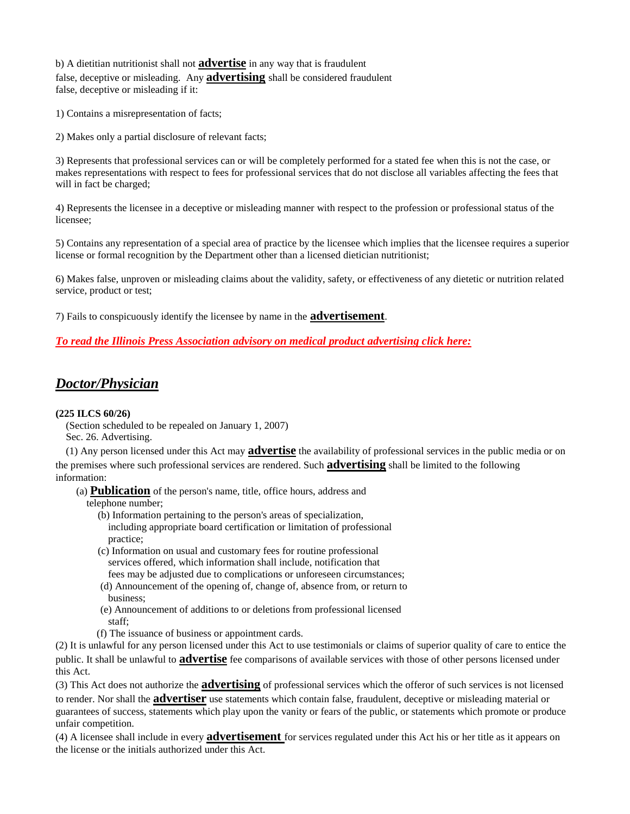b) A dietitian nutritionist shall not **advertise** in any way that is fraudulent false, deceptive or misleading. Any **advertising** shall be considered fraudulent false, deceptive or misleading if it:

1) Contains a misrepresentation of facts;

2) Makes only a partial disclosure of relevant facts;

3) Represents that professional services can or will be completely performed for a stated fee when this is not the case, or makes representations with respect to fees for professional services that do not disclose all variables affecting the fees that will in fact be charged;

4) Represents the licensee in a deceptive or misleading manner with respect to the profession or professional status of the licensee;

5) Contains any representation of a special area of practice by the licensee which implies that the licensee requires a superior license or formal recognition by the Department other than a licensed dietician nutritionist;

6) Makes false, unproven or misleading claims about the validity, safety, or effectiveness of any dietetic or nutrition related service, product or test;

7) Fails to conspicuously identify the licensee by name in the **advertisement**.

*To read the Illinois Press Association advisory on medical product advertising click here:*

### <span id="page-8-0"></span>*Doctor/Physician*

#### **(225 ILCS 60/26)**

 (Section scheduled to be repealed on January 1, 2007) Sec. 26. Advertising.

 (1) Any person licensed under this Act may **advertise** the availability of professional services in the public media or on the premises where such professional services are rendered. Such **advertising** shall be limited to the following information:

(a) **Publication** of the person's name, title, office hours, address and

telephone number;

- (b) Information pertaining to the person's areas of specialization, including appropriate board certification or limitation of professional practice;
- (c) Information on usual and customary fees for routine professional services offered, which information shall include, notification that fees may be adjusted due to complications or unforeseen circumstances;
- (d) Announcement of the opening of, change of, absence from, or return to business;
- (e) Announcement of additions to or deletions from professional licensed staff;
- (f) The issuance of business or appointment cards.

(2) It is unlawful for any person licensed under this Act to use testimonials or claims of superior quality of care to entice the public. It shall be unlawful to **advertise** fee comparisons of available services with those of other persons licensed under this Act.

(3) This Act does not authorize the **advertising** of professional services which the offeror of such services is not licensed to render. Nor shall the **advertiser** use statements which contain false, fraudulent, deceptive or misleading material or guarantees of success, statements which play upon the vanity or fears of the public, or statements which promote or produce unfair competition.

(4) A licensee shall include in every **advertisement** for services regulated under this Act his or her title as it appears on the license or the initials authorized under this Act.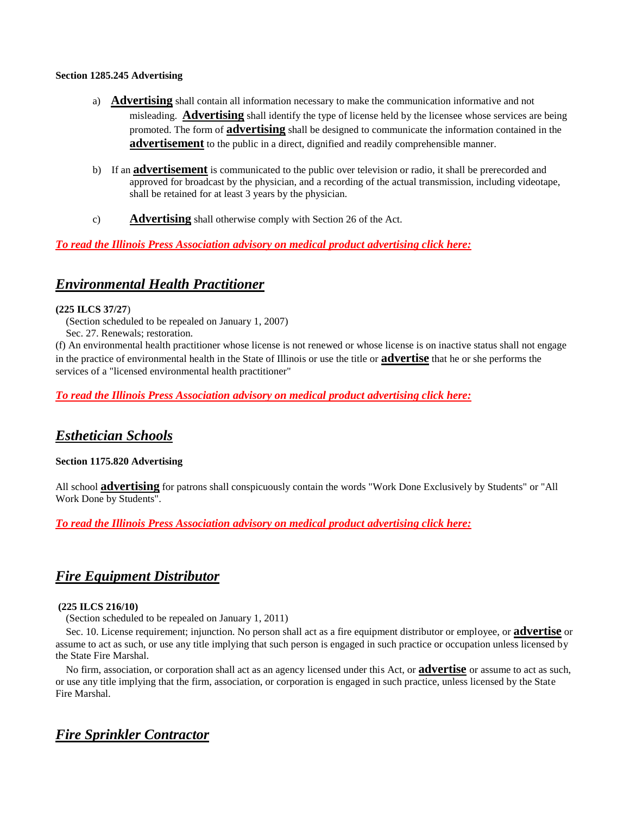#### **Section 1285.245 Advertising**

- a) **Advertising** shall contain all information necessary to make the communication informative and not misleading. **Advertising** shall identify the type of license held by the licensee whose services are being promoted. The form of **advertising** shall be designed to communicate the information contained in the **advertisement** to the public in a direct, dignified and readily comprehensible manner.
- b) If an **advertisement** is communicated to the public over television or radio, it shall be prerecorded and approved for broadcast by the physician, and a recording of the actual transmission, including videotape, shall be retained for at least 3 years by the physician.
- c) **Advertising** shall otherwise comply with Section 26 of the Act.

### *To read the Illinois Press Association advisory on medical product advertising click here:*

# <span id="page-9-0"></span>*Environmental Health Practitioner*

#### **(225 ILCS 37/27**)

(Section scheduled to be repealed on January 1, 2007)

Sec. 27. Renewals; restoration.

(f) An environmental health practitioner whose license is not renewed or whose license is on inactive status shall not engage in the practice of environmental health in the State of Illinois or use the title or **advertise** that he or she performs the services of a "licensed environmental health practitioner"

*To read the Illinois Press Association advisory on medical product advertising click here:*

# <span id="page-9-1"></span>*Esthetician Schools*

#### **Section 1175.820 Advertising**

All school **advertising** for patrons shall conspicuously contain the words "Work Done Exclusively by Students" or "All Work Done by Students".

*To read the Illinois Press Association advisory on medical product advertising click here:*

# <span id="page-9-2"></span>*[Fire Equipment Distributor](#page-9-2)*

#### **(225 ILCS 216/10)**

(Section scheduled to be repealed on January 1, 2011)

 Sec. 10. License requirement; injunction. No person shall act as a fire equipment distributor or employee, or **advertise** or assume to act as such, or use any title implying that such person is engaged in such practice or occupation unless licensed by the State Fire Marshal.

 No firm, association, or corporation shall act as an agency licensed under this Act, or **advertise** or assume to act as such, or use any title implying that the firm, association, or corporation is engaged in such practice, unless licensed by the State Fire Marshal.

# <span id="page-9-3"></span>*Fire Sprinkler Contractor*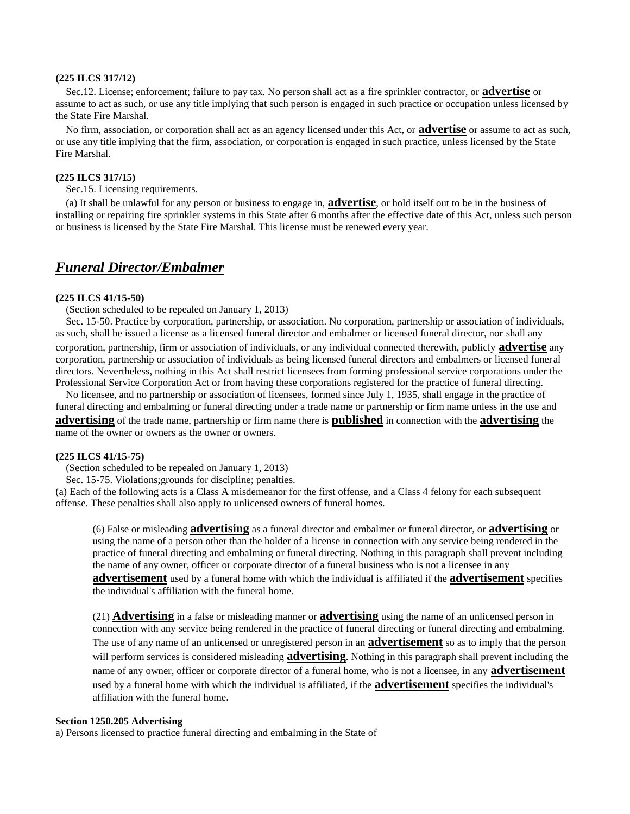#### **(225 ILCS 317/12)**

 Sec.12. License; enforcement; failure to pay tax. No person shall act as a fire sprinkler contractor, or **advertise** or assume to act as such, or use any title implying that such person is engaged in such practice or occupation unless licensed by the State Fire Marshal.

 No firm, association, or corporation shall act as an agency licensed under this Act, or **advertise** or assume to act as such, or use any title implying that the firm, association, or corporation is engaged in such practice, unless licensed by the State Fire Marshal.

#### **(225 ILCS 317/15)**

Sec.15. Licensing requirements.

 (a) It shall be unlawful for any person or business to engage in, **advertise**, or hold itself out to be in the business of installing or repairing fire sprinkler systems in this State after 6 months after the effective date of this Act, unless such person or business is licensed by the State Fire Marshal. This license must be renewed every year.

### <span id="page-10-0"></span>*Funeral Director/Embalmer*

#### **(225 ILCS 41/15-50)**

(Section scheduled to be repealed on January 1, 2013)

 Sec. 15-50. Practice by corporation, partnership, or association. No corporation, partnership or association of individuals, as such, shall be issued a license as a licensed funeral director and embalmer or licensed funeral director, nor shall any corporation, partnership, firm or association of individuals, or any individual connected therewith, publicly **advertise** any corporation, partnership or association of individuals as being licensed funeral directors and embalmers or licensed funeral directors. Nevertheless, nothing in this Act shall restrict licensees from forming professional service corporations under the Professional Service Corporation Act or from having these corporations registered for the practice of funeral directing.

 No licensee, and no partnership or association of licensees, formed since July 1, 1935, shall engage in the practice of funeral directing and embalming or funeral directing under a trade name or partnership or firm name unless in the use and **advertising** of the trade name, partnership or firm name there is **published** in connection with the **advertising** the name of the owner or owners as the owner or owners.

#### **(225 ILCS 41/15-75)**

(Section scheduled to be repealed on January 1, 2013)

Sec. 15-75. Violations;grounds for discipline; penalties.

(a) Each of the following acts is a Class A misdemeanor for the first offense, and a Class 4 felony for each subsequent offense. These penalties shall also apply to unlicensed owners of funeral homes.

(6) False or misleading **advertising** as a funeral director and embalmer or funeral director, or **advertising** or using the name of a person other than the holder of a license in connection with any service being rendered in the practice of funeral directing and embalming or funeral directing. Nothing in this paragraph shall prevent including the name of any owner, officer or corporate director of a funeral business who is not a licensee in any **advertisement** used by a funeral home with which the individual is affiliated if the **advertisement** specifies the individual's affiliation with the funeral home.

(21) **Advertising** in a false or misleading manner or **advertising** using the name of an unlicensed person in connection with any service being rendered in the practice of funeral directing or funeral directing and embalming. The use of any name of an unlicensed or unregistered person in an **advertisement** so as to imply that the person will perform services is considered misleading **advertising**. Nothing in this paragraph shall prevent including the name of any owner, officer or corporate director of a funeral home, who is not a licensee, in any **advertisement** used by a funeral home with which the individual is affiliated, if the **advertisement** specifies the individual's affiliation with the funeral home.

#### **Section 1250.205 Advertising**

a) Persons licensed to practice funeral directing and embalming in the State of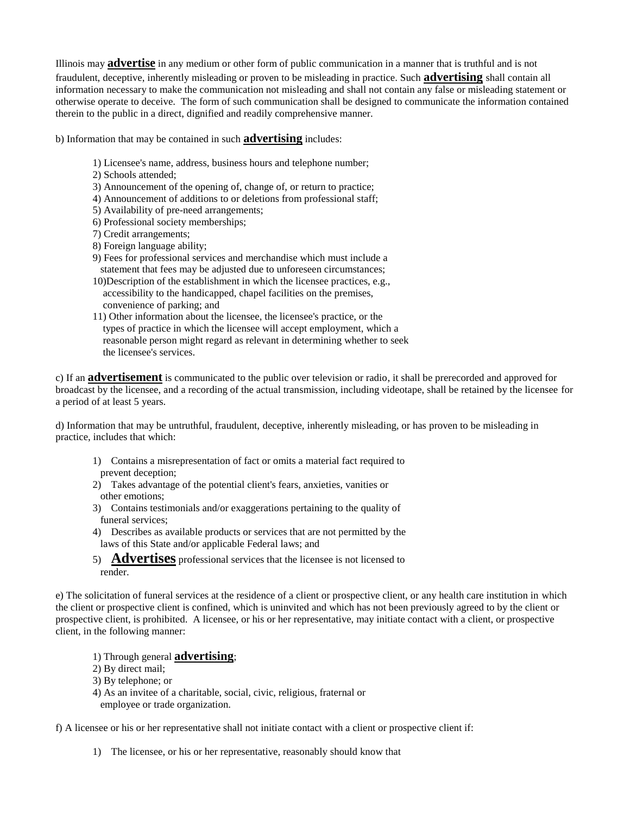Illinois may **advertise** in any medium or other form of public communication in a manner that is truthful and is not fraudulent, deceptive, inherently misleading or proven to be misleading in practice. Such **advertising** shall contain all information necessary to make the communication not misleading and shall not contain any false or misleading statement or otherwise operate to deceive. The form of such communication shall be designed to communicate the information contained therein to the public in a direct, dignified and readily comprehensive manner.

b) Information that may be contained in such **advertising** includes:

- 1) Licensee's name, address, business hours and telephone number;
- 2) Schools attended;
- 3) Announcement of the opening of, change of, or return to practice;
- 4) Announcement of additions to or deletions from professional staff;
- 5) Availability of pre-need arrangements;
- 6) Professional society memberships;
- 7) Credit arrangements;
- 8) Foreign language ability;
- 9) Fees for professional services and merchandise which must include a statement that fees may be adjusted due to unforeseen circumstances;
- 10)Description of the establishment in which the licensee practices, e.g., accessibility to the handicapped, chapel facilities on the premises, convenience of parking; and
- 11) Other information about the licensee, the licensee's practice, or the types of practice in which the licensee will accept employment, which a reasonable person might regard as relevant in determining whether to seek the licensee's services.

c) If an **advertisement** is communicated to the public over television or radio, it shall be prerecorded and approved for broadcast by the licensee, and a recording of the actual transmission, including videotape, shall be retained by the licensee for a period of at least 5 years.

d) Information that may be untruthful, fraudulent, deceptive, inherently misleading, or has proven to be misleading in practice, includes that which:

- 1) Contains a misrepresentation of fact or omits a material fact required to prevent deception;
- 2) Takes advantage of the potential client's fears, anxieties, vanities or other emotions;
- 3) Contains testimonials and/or exaggerations pertaining to the quality of funeral services;
- 4) Describes as available products or services that are not permitted by the laws of this State and/or applicable Federal laws; and
- 5) **Advertises** professional services that the licensee is not licensed to render.

e) The solicitation of funeral services at the residence of a client or prospective client, or any health care institution in which the client or prospective client is confined, which is uninvited and which has not been previously agreed to by the client or prospective client, is prohibited. A licensee, or his or her representative, may initiate contact with a client, or prospective client, in the following manner:

- 1) Through general **advertising**;
- 2) By direct mail;
- 3) By telephone; or
- 4) As an invitee of a charitable, social, civic, religious, fraternal or employee or trade organization.

f) A licensee or his or her representative shall not initiate contact with a client or prospective client if:

1) The licensee, or his or her representative, reasonably should know that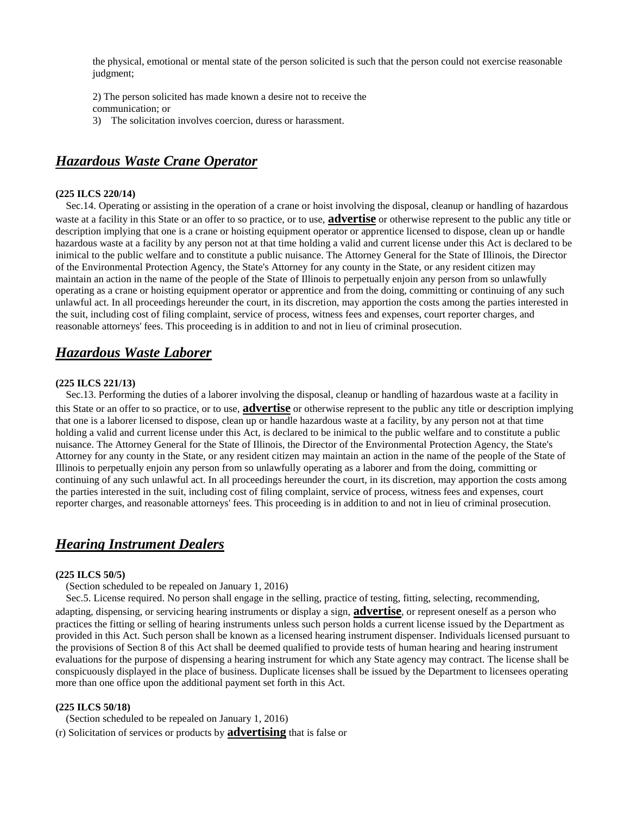the physical, emotional or mental state of the person solicited is such that the person could not exercise reasonable judgment;

2) The person solicited has made known a desire not to receive the communication; or

3) The solicitation involves coercion, duress or harassment.

# <span id="page-12-0"></span>*Hazardous Waste Crane Operator*

#### **(225 ILCS 220/14)**

 Sec.14. Operating or assisting in the operation of a crane or hoist involving the disposal, cleanup or handling of hazardous waste at a facility in this State or an offer to so practice, or to use, **advertise** or otherwise represent to the public any title or description implying that one is a crane or hoisting equipment operator or apprentice licensed to dispose, clean up or handle hazardous waste at a facility by any person not at that time holding a valid and current license under this Act is declared to be inimical to the public welfare and to constitute a public nuisance. The Attorney General for the State of Illinois, the Director of the Environmental Protection Agency, the State's Attorney for any county in the State, or any resident citizen may maintain an action in the name of the people of the State of Illinois to perpetually enjoin any person from so unlawfully operating as a crane or hoisting equipment operator or apprentice and from the doing, committing or continuing of any such unlawful act. In all proceedings hereunder the court, in its discretion, may apportion the costs among the parties interested in the suit, including cost of filing complaint, service of process, witness fees and expenses, court reporter charges, and reasonable attorneys' fees. This proceeding is in addition to and not in lieu of criminal prosecution.

### <span id="page-12-1"></span>*Hazardous Waste Laborer*

#### **(225 ILCS 221/13)**

 Sec.13. Performing the duties of a laborer involving the disposal, cleanup or handling of hazardous waste at a facility in this State or an offer to so practice, or to use, **advertise** or otherwise represent to the public any title or description implying that one is a laborer licensed to dispose, clean up or handle hazardous waste at a facility, by any person not at that time holding a valid and current license under this Act, is declared to be inimical to the public welfare and to constitute a public nuisance. The Attorney General for the State of Illinois, the Director of the Environmental Protection Agency, the State's Attorney for any county in the State, or any resident citizen may maintain an action in the name of the people of the State of Illinois to perpetually enjoin any person from so unlawfully operating as a laborer and from the doing, committing or continuing of any such unlawful act. In all proceedings hereunder the court, in its discretion, may apportion the costs among the parties interested in the suit, including cost of filing complaint, service of process, witness fees and expenses, court reporter charges, and reasonable attorneys' fees. This proceeding is in addition to and not in lieu of criminal prosecution.

### <span id="page-12-2"></span>*Hearing Instrument Dealers*

#### **(225 ILCS 50/5)**

(Section scheduled to be repealed on January 1, 2016)

 Sec.5. License required. No person shall engage in the selling, practice of testing, fitting, selecting, recommending, adapting, dispensing, or servicing hearing instruments or display a sign, **advertise**, or represent oneself as a person who practices the fitting or selling of hearing instruments unless such person holds a current license issued by the Department as provided in this Act. Such person shall be known as a licensed hearing instrument dispenser. Individuals licensed pursuant to the provisions of Section 8 of this Act shall be deemed qualified to provide tests of human hearing and hearing instrument evaluations for the purpose of dispensing a hearing instrument for which any State agency may contract. The license shall be conspicuously displayed in the place of business. Duplicate licenses shall be issued by the Department to licensees operating more than one office upon the additional payment set forth in this Act.

#### **(225 ILCS 50/18)**

(Section scheduled to be repealed on January 1, 2016)

(r) Solicitation of services or products by **advertising** that is false or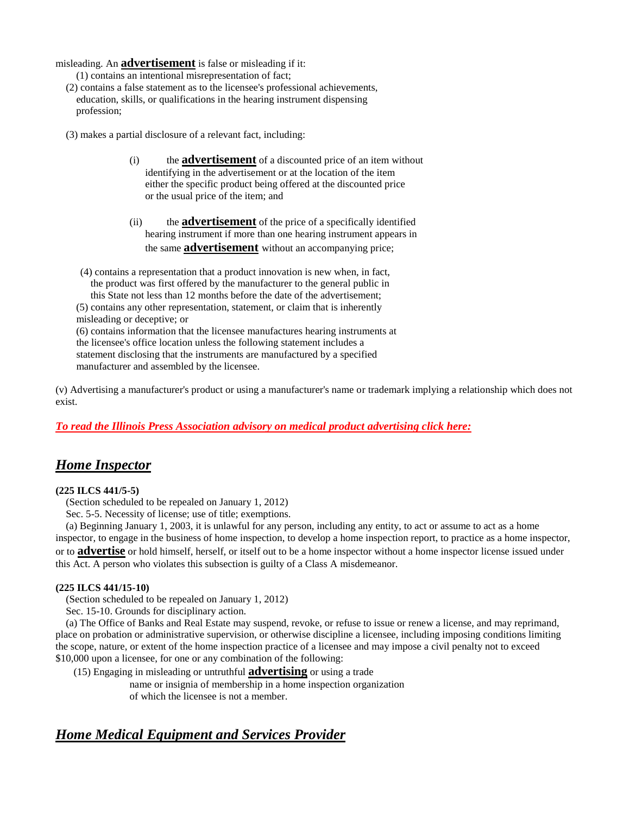misleading. An **advertisement** is false or misleading if it:

- (1) contains an intentional misrepresentation of fact;
- (2) contains a false statement as to the licensee's professional achievements, education, skills, or qualifications in the hearing instrument dispensing profession;
- (3) makes a partial disclosure of a relevant fact, including:
	- (i) the **advertisement** of a discounted price of an item without identifying in the advertisement or at the location of the item either the specific product being offered at the discounted price or the usual price of the item; and
	- (ii) the **advertisement** of the price of a specifically identified hearing instrument if more than one hearing instrument appears in the same **advertisement** without an accompanying price;

(4) contains a representation that a product innovation is new when, in fact, the product was first offered by the manufacturer to the general public in this State not less than 12 months before the date of the advertisement; (5) contains any other representation, statement, or claim that is inherently misleading or deceptive; or (6) contains information that the licensee manufactures hearing instruments at the licensee's office location unless the following statement includes a statement disclosing that the instruments are manufactured by a specified

manufacturer and assembled by the licensee.

(v) Advertising a manufacturer's product or using a manufacturer's name or trademark implying a relationship which does not exist.

### *To read the Illinois Press Association advisory on medical product advertising click here:*

### <span id="page-13-0"></span>*Home Inspector*

#### **(225 ILCS 441/5-5)**

(Section scheduled to be repealed on January 1, 2012)

Sec. 5-5. Necessity of license; use of title; exemptions.

 (a) Beginning January 1, 2003, it is unlawful for any person, including any entity, to act or assume to act as a home inspector, to engage in the business of home inspection, to develop a home inspection report, to practice as a home inspector, or to **advertise** or hold himself, herself, or itself out to be a home inspector without a home inspector license issued under this Act. A person who violates this subsection is guilty of a Class A misdemeanor.

#### **(225 ILCS 441/15-10)**

(Section scheduled to be repealed on January 1, 2012)

Sec. 15-10. Grounds for disciplinary action.

 (a) The Office of Banks and Real Estate may suspend, revoke, or refuse to issue or renew a license, and may reprimand, place on probation or administrative supervision, or otherwise discipline a licensee, including imposing conditions limiting the scope, nature, or extent of the home inspection practice of a licensee and may impose a civil penalty not to exceed \$10,000 upon a licensee, for one or any combination of the following:

(15) Engaging in misleading or untruthful **advertising** or using a trade

name or insignia of membership in a home inspection organization of which the licensee is not a member.

# <span id="page-13-1"></span>*Home Medical Equipment and Services Provider*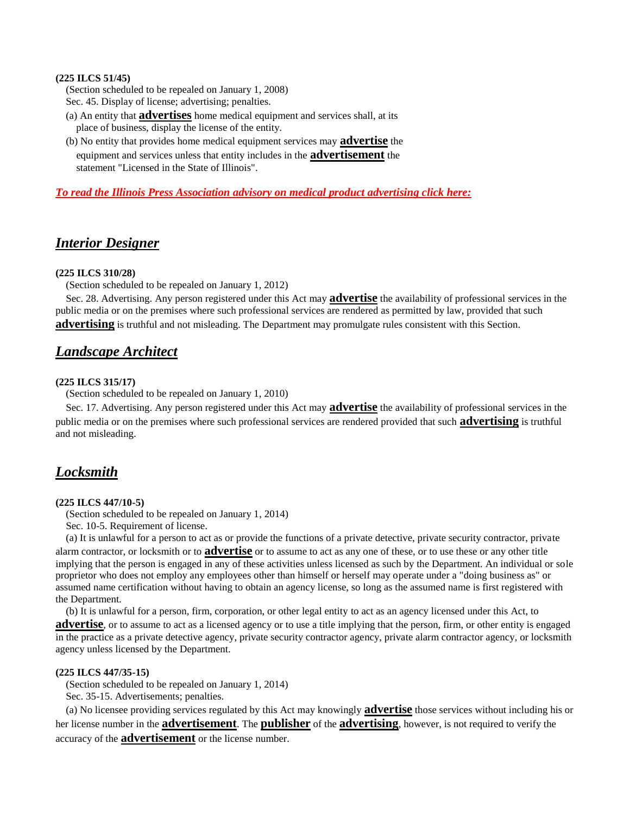#### **(225 ILCS 51/45)**

 (Section scheduled to be repealed on January 1, 2008) Sec. 45. Display of license; advertising; penalties.

- (a) An entity that **advertises** home medical equipment and services shall, at its place of business, display the license of the entity.
- (b) No entity that provides home medical equipment services may **advertise** the equipment and services unless that entity includes in the **advertisement** the statement "Licensed in the State of Illinois".

*To read the Illinois Press Association advisory on medical product advertising click here:*

### <span id="page-14-0"></span>*Interior Designer*

#### **(225 ILCS 310/28)**

(Section scheduled to be repealed on January 1, 2012)

 Sec. 28. Advertising. Any person registered under this Act may **advertise** the availability of professional services in the public media or on the premises where such professional services are rendered as permitted by law, provided that such **advertising** is truthful and not misleading. The Department may promulgate rules consistent with this Section.

### <span id="page-14-1"></span>*Landscape Architect*

#### **(225 ILCS 315/17)**

(Section scheduled to be repealed on January 1, 2010)

 Sec. 17. Advertising. Any person registered under this Act may **advertise** the availability of professional services in the public media or on the premises where such professional services are rendered provided that such **advertising** is truthful and not misleading.

### <span id="page-14-2"></span>*Locksmith*

#### **(225 ILCS 447/10-5)**

(Section scheduled to be repealed on January 1, 2014)

Sec. 10-5. Requirement of license.

 (a) It is unlawful for a person to act as or provide the functions of a private detective, private security contractor, private alarm contractor, or locksmith or to **advertise** or to assume to act as any one of these, or to use these or any other title implying that the person is engaged in any of these activities unless licensed as such by the Department. An individual or sole proprietor who does not employ any employees other than himself or herself may operate under a "doing business as" or assumed name certification without having to obtain an agency license, so long as the assumed name is first registered with the Department.

 (b) It is unlawful for a person, firm, corporation, or other legal entity to act as an agency licensed under this Act, to **advertise**, or to assume to act as a licensed agency or to use a title implying that the person, firm, or other entity is engaged in the practice as a private detective agency, private security contractor agency, private alarm contractor agency, or locksmith agency unless licensed by the Department.

#### **(225 ILCS 447/35-15)**

 (Section scheduled to be repealed on January 1, 2014) Sec. 35-15. Advertisements; penalties.

 (a) No licensee providing services regulated by this Act may knowingly **advertise** those services without including his or her license number in the **advertisement**. The **publisher** of the **advertising**, however, is not required to verify the accuracy of the **advertisement** or the license number.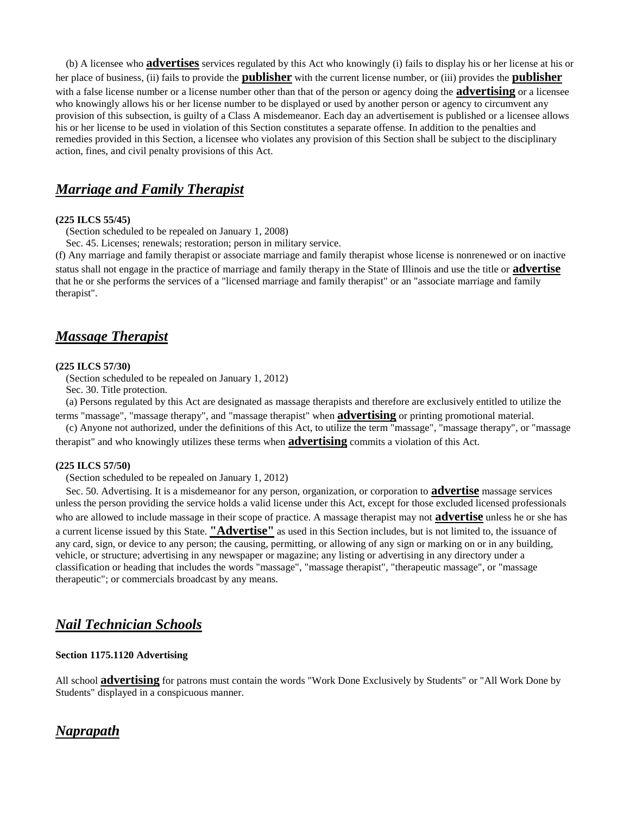(b) A licensee who **advertises** services regulated by this Act who knowingly (i) fails to display his or her license at his or her place of business, (ii) fails to provide the **publisher** with the current license number, or (iii) provides the **publisher** with a false license number or a license number other than that of the person or agency doing the **advertising** or a licensee who knowingly allows his or her license number to be displayed or used by another person or agency to circumvent any provision of this subsection, is guilty of a Class A misdemeanor. Each day an advertisement is published or a licensee allows his or her license to be used in violation of this Section constitutes a separate offense. In addition to the penalties and remedies provided in this Section, a licensee who violates any provision of this Section shall be subject to the disciplinary action, fines, and civil penalty provisions of this Act.

### <span id="page-15-0"></span>*Marriage and Family Therapist*

#### **(225 ILCS 55/45)**

(Section scheduled to be repealed on January 1, 2008)

Sec. 45. Licenses; renewals; restoration; person in military service.

(f) Any marriage and family therapist or associate marriage and family therapist whose license is nonrenewed or on inactive status shall not engage in the practice of marriage and family therapy in the State of Illinois and use the title or **advertise** that he or she performs the services of a "licensed marriage and family therapist" or an "associate marriage and family therapist".

### <span id="page-15-1"></span>*Massage Therapist*

#### **(225 ILCS 57/30)**

(Section scheduled to be repealed on January 1, 2012)

Sec. 30. Title protection.

 (a) Persons regulated by this Act are designated as massage therapists and therefore are exclusively entitled to utilize the terms "massage", "massage therapy", and "massage therapist" when **advertising** or printing promotional material.

 (c) Anyone not authorized, under the definitions of this Act, to utilize the term "massage", "massage therapy", or "massage therapist" and who knowingly utilizes these terms when **advertising** commits a violation of this Act.

#### **(225 ILCS 57/50)**

(Section scheduled to be repealed on January 1, 2012)

 Sec. 50. Advertising. It is a misdemeanor for any person, organization, or corporation to **advertise** massage services unless the person providing the service holds a valid license under this Act, except for those excluded licensed professionals who are allowed to include massage in their scope of practice. A massage therapist may not **advertise** unless he or she has a current license issued by this State. **"Advertise"** as used in this Section includes, but is not limited to, the issuance of any card, sign, or device to any person; the causing, permitting, or allowing of any sign or marking on or in any building, vehicle, or structure; advertising in any newspaper or magazine; any listing or advertising in any directory under a classification or heading that includes the words "massage", "massage therapist", "therapeutic massage", or "massage therapeutic"; or commercials broadcast by any means.

### <span id="page-15-2"></span>*Nail Technician Schools*

#### **Section 1175.1120 Advertising**

All school **advertising** for patrons must contain the words "Work Done Exclusively by Students" or "All Work Done by Students" displayed in a conspicuous manner.

### <span id="page-15-3"></span>*Naprapath*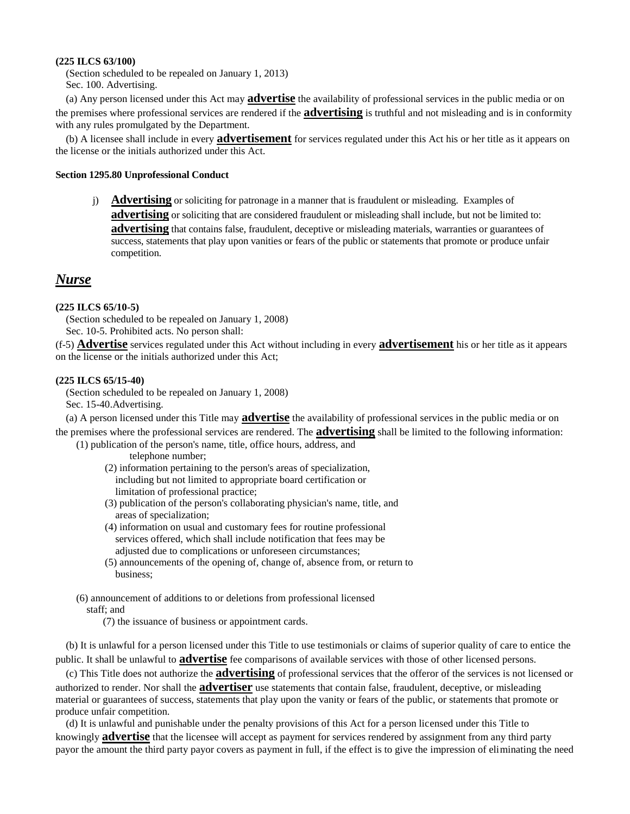#### **(225 ILCS 63/100)**

 (Section scheduled to be repealed on January 1, 2013) Sec. 100. Advertising.

 (a) Any person licensed under this Act may **advertise** the availability of professional services in the public media or on the premises where professional services are rendered if the **advertising** is truthful and not misleading and is in conformity with any rules promulgated by the Department.

 (b) A licensee shall include in every **advertisement** for services regulated under this Act his or her title as it appears on the license or the initials authorized under this Act.

#### **Section 1295.80 Unprofessional Conduct**

j) **Advertising** or soliciting for patronage in a manner that is fraudulent or misleading. Examples of **advertising** or soliciting that are considered fraudulent or misleading shall include, but not be limited to: **advertising** that contains false, fraudulent, deceptive or misleading materials, warranties or guarantees of success, statements that play upon vanities or fears of the public or statements that promote or produce unfair competition.

### <span id="page-16-0"></span>*Nurse*

#### **(225 ILCS 65/10-5)**

 (Section scheduled to be repealed on January 1, 2008) Sec. 10-5. Prohibited acts. No person shall:

(f-5) **Advertise** services regulated under this Act without including in every **advertisement** his or her title as it appears on the license or the initials authorized under this Act;

#### **(225 ILCS 65/15-40)**

 (Section scheduled to be repealed on January 1, 2008) Sec. 15-40.Advertising.

 (a) A person licensed under this Title may **advertise** the availability of professional services in the public media or on the premises where the professional services are rendered. The **advertising** shall be limited to the following information:

(1) publication of the person's name, title, office hours, address, and

telephone number;

- (2) information pertaining to the person's areas of specialization, including but not limited to appropriate board certification or limitation of professional practice;
- (3) publication of the person's collaborating physician's name, title, and areas of specialization;
- (4) information on usual and customary fees for routine professional services offered, which shall include notification that fees may be adjusted due to complications or unforeseen circumstances:
- (5) announcements of the opening of, change of, absence from, or return to business;
- (6) announcement of additions to or deletions from professional licensed staff; and

(7) the issuance of business or appointment cards.

 (b) It is unlawful for a person licensed under this Title to use testimonials or claims of superior quality of care to entice the public. It shall be unlawful to **advertise** fee comparisons of available services with those of other licensed persons.

 (c) This Title does not authorize the **advertising** of professional services that the offeror of the services is not licensed or authorized to render. Nor shall the **advertiser** use statements that contain false, fraudulent, deceptive, or misleading material or guarantees of success, statements that play upon the vanity or fears of the public, or statements that promote or produce unfair competition.

 (d) It is unlawful and punishable under the penalty provisions of this Act for a person licensed under this Title to knowingly **advertise** that the licensee will accept as payment for services rendered by assignment from any third party payor the amount the third party payor covers as payment in full, if the effect is to give the impression of eliminating the need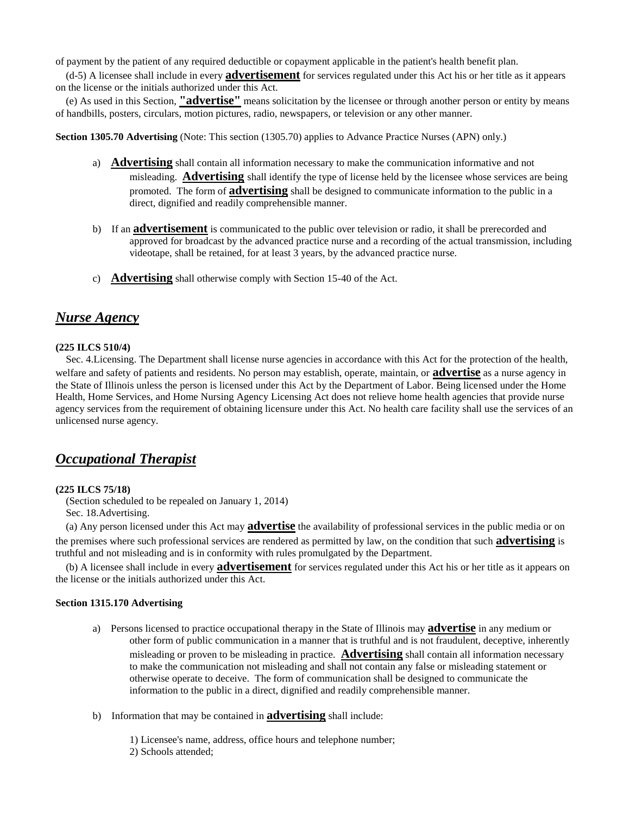of payment by the patient of any required deductible or copayment applicable in the patient's health benefit plan.

 (d-5) A licensee shall include in every **advertisement** for services regulated under this Act his or her title as it appears on the license or the initials authorized under this Act.

 (e) As used in this Section, **"advertise"** means solicitation by the licensee or through another person or entity by means of handbills, posters, circulars, motion pictures, radio, newspapers, or television or any other manner.

**Section 1305.70 Advertising** (Note: This section (1305.70) applies to Advance Practice Nurses (APN) only.)

- a) **Advertising** shall contain all information necessary to make the communication informative and not misleading. **Advertising** shall identify the type of license held by the licensee whose services are being promoted. The form of **advertising** shall be designed to communicate information to the public in a direct, dignified and readily comprehensible manner.
- b) If an **advertisement** is communicated to the public over television or radio, it shall be prerecorded and approved for broadcast by the advanced practice nurse and a recording of the actual transmission, including videotape, shall be retained, for at least 3 years, by the advanced practice nurse.
- c) **Advertising** shall otherwise comply with Section 15-40 of the Act.

### <span id="page-17-0"></span>*Nurse Agency*

#### **(225 ILCS 510/4)**

 Sec. 4.Licensing. The Department shall license nurse agencies in accordance with this Act for the protection of the health, welfare and safety of patients and residents. No person may establish, operate, maintain, or **advertise** as a nurse agency in the State of Illinois unless the person is licensed under this Act by the Department of Labor. Being licensed under the Home Health, Home Services, and Home Nursing Agency Licensing Act does not relieve home health agencies that provide nurse agency services from the requirement of obtaining licensure under this Act. No health care facility shall use the services of an unlicensed nurse agency.

### <span id="page-17-1"></span>*Occupational Therapist*

#### **(225 ILCS 75/18)**

 (Section scheduled to be repealed on January 1, 2014) Sec. 18.Advertising.

 (a) Any person licensed under this Act may **advertise** the availability of professional services in the public media or on the premises where such professional services are rendered as permitted by law, on the condition that such **advertising** is truthful and not misleading and is in conformity with rules promulgated by the Department.

 (b) A licensee shall include in every **advertisement** for services regulated under this Act his or her title as it appears on the license or the initials authorized under this Act.

#### **Section 1315.170 Advertising**

- a) Persons licensed to practice occupational therapy in the State of Illinois may **advertise** in any medium or other form of public communication in a manner that is truthful and is not fraudulent, deceptive, inherently misleading or proven to be misleading in practice. **Advertising** shall contain all information necessary to make the communication not misleading and shall not contain any false or misleading statement or otherwise operate to deceive. The form of communication shall be designed to communicate the information to the public in a direct, dignified and readily comprehensible manner.
- b) Information that may be contained in **advertising** shall include:

1) Licensee's name, address, office hours and telephone number; 2) Schools attended;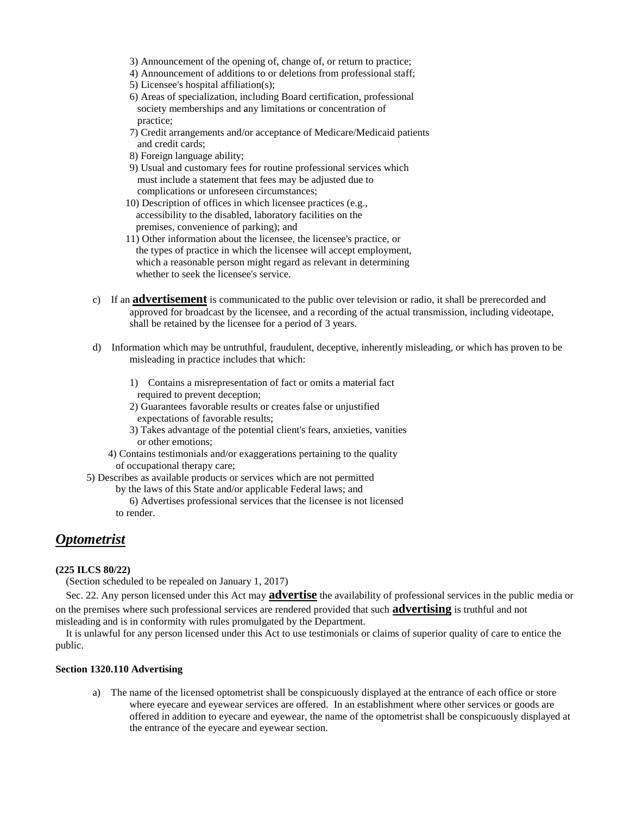- 3) Announcement of the opening of, change of, or return to practice;
- 4) Announcement of additions to or deletions from professional staff;
- 5) Licensee's hospital affiliation(s);
- 6) Areas of specialization, including Board certification, professional society memberships and any limitations or concentration of practice;
- 7) Credit arrangements and/or acceptance of Medicare/Medicaid patients and credit cards;
- 8) Foreign language ability;
- 9) Usual and customary fees for routine professional services which must include a statement that fees may be adjusted due to complications or unforeseen circumstances;
- 10) Description of offices in which licensee practices (e.g., accessibility to the disabled, laboratory facilities on the premises, convenience of parking); and
- 11) Other information about the licensee, the licensee's practice, or the types of practice in which the licensee will accept employment, which a reasonable person might regard as relevant in determining whether to seek the licensee's service.
- c) If an **advertisement** is communicated to the public over television or radio, it shall be prerecorded and approved for broadcast by the licensee, and a recording of the actual transmission, including videotape, shall be retained by the licensee for a period of 3 years.
- d) Information which may be untruthful, fraudulent, deceptive, inherently misleading, or which has proven to be misleading in practice includes that which:
	- 1) Contains a misrepresentation of fact or omits a material fact required to prevent deception;
	- 2) Guarantees favorable results or creates false or unjustified expectations of favorable results;
	- 3) Takes advantage of the potential client's fears, anxieties, vanities or other emotions;
	- 4) Contains testimonials and/or exaggerations pertaining to the quality of occupational therapy care;
- 5) Describes as available products or services which are not permitted
	- by the laws of this State and/or applicable Federal laws; and
	- 6) Advertises professional services that the licensee is not licensed to render.

# <span id="page-18-0"></span>*Optometrist*

#### **(225 ILCS 80/22)**

(Section scheduled to be repealed on January 1, 2017)

 Sec. 22. Any person licensed under this Act may **advertise** the availability of professional services in the public media or on the premises where such professional services are rendered provided that such **advertising** is truthful and not misleading and is in conformity with rules promulgated by the Department.

 It is unlawful for any person licensed under this Act to use testimonials or claims of superior quality of care to entice the public.

#### **Section 1320.110 Advertising**

a) The name of the licensed optometrist shall be conspicuously displayed at the entrance of each office or store where eyecare and eyewear services are offered. In an establishment where other services or goods are offered in addition to eyecare and eyewear, the name of the optometrist shall be conspicuously displayed at the entrance of the eyecare and eyewear section.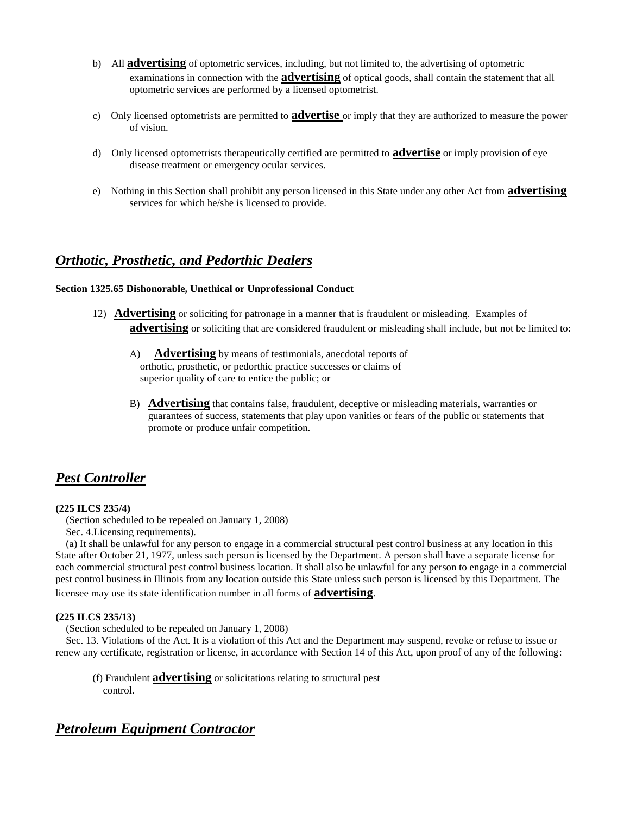- b) All **advertising** of optometric services, including, but not limited to, the advertising of optometric examinations in connection with the **advertising** of optical goods, shall contain the statement that all optometric services are performed by a licensed optometrist.
- c) Only licensed optometrists are permitted to **advertise** or imply that they are authorized to measure the power of vision.
- d) Only licensed optometrists therapeutically certified are permitted to **advertise** or imply provision of eye disease treatment or emergency ocular services.
- e) Nothing in this Section shall prohibit any person licensed in this State under any other Act from **advertising** services for which he/she is licensed to provide.

### <span id="page-19-0"></span>*Orthotic, Prosthetic, and Pedorthic Dealers*

#### **Section 1325.65 Dishonorable, Unethical or Unprofessional Conduct**

- 12) **Advertising** or soliciting for patronage in a manner that is fraudulent or misleading. Examples of **advertising** or soliciting that are considered fraudulent or misleading shall include, but not be limited to:
	- A) **Advertising** by means of testimonials, anecdotal reports of orthotic, prosthetic, or pedorthic practice successes or claims of superior quality of care to entice the public; or
	- B) **Advertising** that contains false, fraudulent, deceptive or misleading materials, warranties or guarantees of success, statements that play upon vanities or fears of the public or statements that promote or produce unfair competition.

# <span id="page-19-1"></span>*Pest Controller*

#### **(225 ILCS 235/4)**

(Section scheduled to be repealed on January 1, 2008)

Sec. 4.Licensing requirements).

 (a) It shall be unlawful for any person to engage in a commercial structural pest control business at any location in this State after October 21, 1977, unless such person is licensed by the Department. A person shall have a separate license for each commercial structural pest control business location. It shall also be unlawful for any person to engage in a commercial pest control business in Illinois from any location outside this State unless such person is licensed by this Department. The licensee may use its state identification number in all forms of **advertising**.

#### **(225 ILCS 235/13)**

(Section scheduled to be repealed on January 1, 2008)

 Sec. 13. Violations of the Act. It is a violation of this Act and the Department may suspend, revoke or refuse to issue or renew any certificate, registration or license, in accordance with Section 14 of this Act, upon proof of any of the following:

(f) Fraudulent **advertising** or solicitations relating to structural pest

control.

# <span id="page-19-2"></span>*Petroleum Equipment Contractor*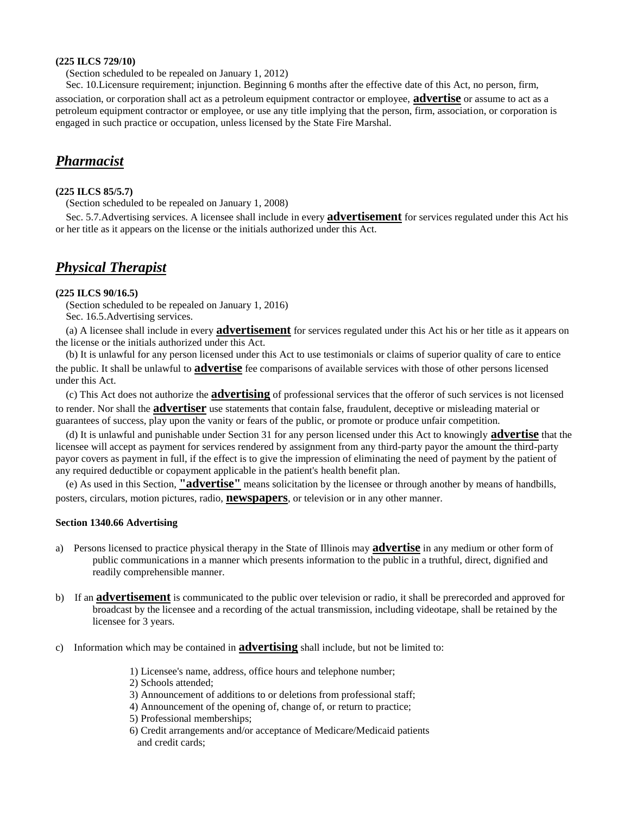#### **(225 ILCS 729/10)**

(Section scheduled to be repealed on January 1, 2012)

 Sec. 10.Licensure requirement; injunction. Beginning 6 months after the effective date of this Act, no person, firm, association, or corporation shall act as a petroleum equipment contractor or employee, **advertise** or assume to act as a petroleum equipment contractor or employee, or use any title implying that the person, firm, association, or corporation is engaged in such practice or occupation, unless licensed by the State Fire Marshal.

### <span id="page-20-0"></span>*Pharmacist*

#### **(225 ILCS 85/5.7)**

(Section scheduled to be repealed on January 1, 2008)

 Sec. 5.7.Advertising services. A licensee shall include in every **advertisement** for services regulated under this Act his or her title as it appears on the license or the initials authorized under this Act.

# <span id="page-20-1"></span>*Physical Therapist*

#### **(225 ILCS 90/16.5)**

 (Section scheduled to be repealed on January 1, 2016) Sec. 16.5.Advertising services.

 (a) A licensee shall include in every **advertisement** for services regulated under this Act his or her title as it appears on the license or the initials authorized under this Act.

 (b) It is unlawful for any person licensed under this Act to use testimonials or claims of superior quality of care to entice the public. It shall be unlawful to **advertise** fee comparisons of available services with those of other persons licensed under this Act.

 (c) This Act does not authorize the **advertising** of professional services that the offeror of such services is not licensed to render. Nor shall the **advertiser** use statements that contain false, fraudulent, deceptive or misleading material or guarantees of success, play upon the vanity or fears of the public, or promote or produce unfair competition.

 (d) It is unlawful and punishable under Section 31 for any person licensed under this Act to knowingly **advertise** that the licensee will accept as payment for services rendered by assignment from any third-party payor the amount the third-party payor covers as payment in full, if the effect is to give the impression of eliminating the need of payment by the patient of any required deductible or copayment applicable in the patient's health benefit plan.

 (e) As used in this Section, **"advertise"** means solicitation by the licensee or through another by means of handbills, posters, circulars, motion pictures, radio, **newspapers**, or television or in any other manner.

#### **Section 1340.66 Advertising**

- a) Persons licensed to practice physical therapy in the State of Illinois may **advertise** in any medium or other form of public communications in a manner which presents information to the public in a truthful, direct, dignified and readily comprehensible manner.
- b) If an **advertisement** is communicated to the public over television or radio, it shall be prerecorded and approved for broadcast by the licensee and a recording of the actual transmission, including videotape, shall be retained by the licensee for 3 years.
- c) Information which may be contained in **advertising** shall include, but not be limited to:
	- 1) Licensee's name, address, office hours and telephone number;
	- 2) Schools attended;
	- 3) Announcement of additions to or deletions from professional staff;
	- 4) Announcement of the opening of, change of, or return to practice;
	- 5) Professional memberships;
	- 6) Credit arrangements and/or acceptance of Medicare/Medicaid patients and credit cards;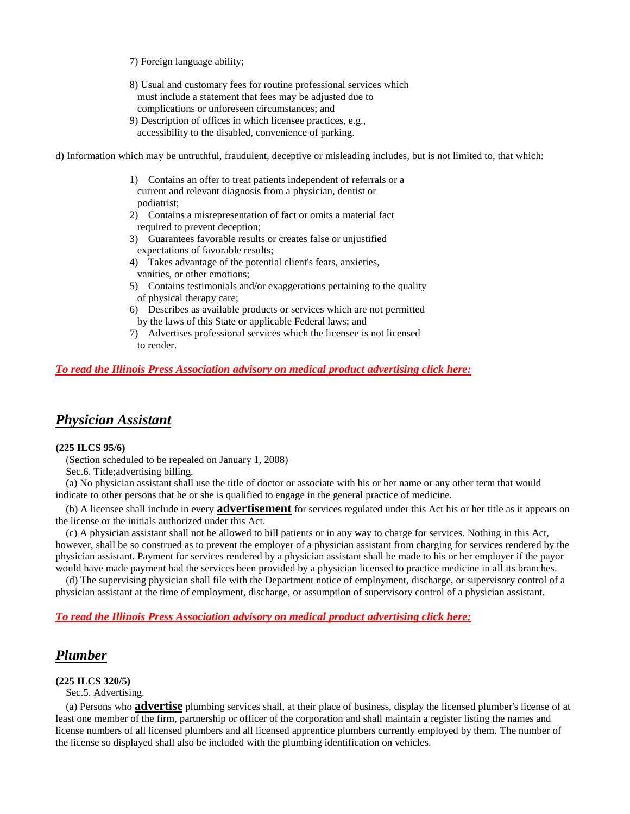7) Foreign language ability;

- 8) Usual and customary fees for routine professional services which must include a statement that fees may be adjusted due to complications or unforeseen circumstances; and
- 9) Description of offices in which licensee practices, e.g., accessibility to the disabled, convenience of parking.

d) Information which may be untruthful, fraudulent, deceptive or misleading includes, but is not limited to, that which:

- 1) Contains an offer to treat patients independent of referrals or a current and relevant diagnosis from a physician, dentist or podiatrist;
- 2) Contains a misrepresentation of fact or omits a material fact required to prevent deception;
- 3) Guarantees favorable results or creates false or unjustified expectations of favorable results;
- 4) Takes advantage of the potential client's fears, anxieties, vanities, or other emotions;
- 5) Contains testimonials and/or exaggerations pertaining to the quality of physical therapy care;
- 6) Describes as available products or services which are not permitted by the laws of this State or applicable Federal laws; and
- 7) Advertises professional services which the licensee is not licensed to render.

#### *To read the Illinois Press Association advisory on medical product advertising click here:*

### <span id="page-21-0"></span>*Physician Assistant*

#### **(225 ILCS 95/6)**

(Section scheduled to be repealed on January 1, 2008)

Sec.6. Title;advertising billing.

 (a) No physician assistant shall use the title of doctor or associate with his or her name or any other term that would indicate to other persons that he or she is qualified to engage in the general practice of medicine.

 (b) A licensee shall include in every **advertisement** for services regulated under this Act his or her title as it appears on the license or the initials authorized under this Act.

 (c) A physician assistant shall not be allowed to bill patients or in any way to charge for services. Nothing in this Act, however, shall be so construed as to prevent the employer of a physician assistant from charging for services rendered by the physician assistant. Payment for services rendered by a physician assistant shall be made to his or her employer if the payor would have made payment had the services been provided by a physician licensed to practice medicine in all its branches.

 (d) The supervising physician shall file with the Department notice of employment, discharge, or supervisory control of a physician assistant at the time of employment, discharge, or assumption of supervisory control of a physician assistant.

#### *To read the Illinois Press Association advisory on medical product advertising click here:*

### <span id="page-21-1"></span>*Plumber*

#### **(225 ILCS 320/5)**

Sec.5. Advertising.

 (a) Persons who **advertise** plumbing services shall, at their place of business, display the licensed plumber's license of at least one member of the firm, partnership or officer of the corporation and shall maintain a register listing the names and license numbers of all licensed plumbers and all licensed apprentice plumbers currently employed by them. The number of the license so displayed shall also be included with the plumbing identification on vehicles.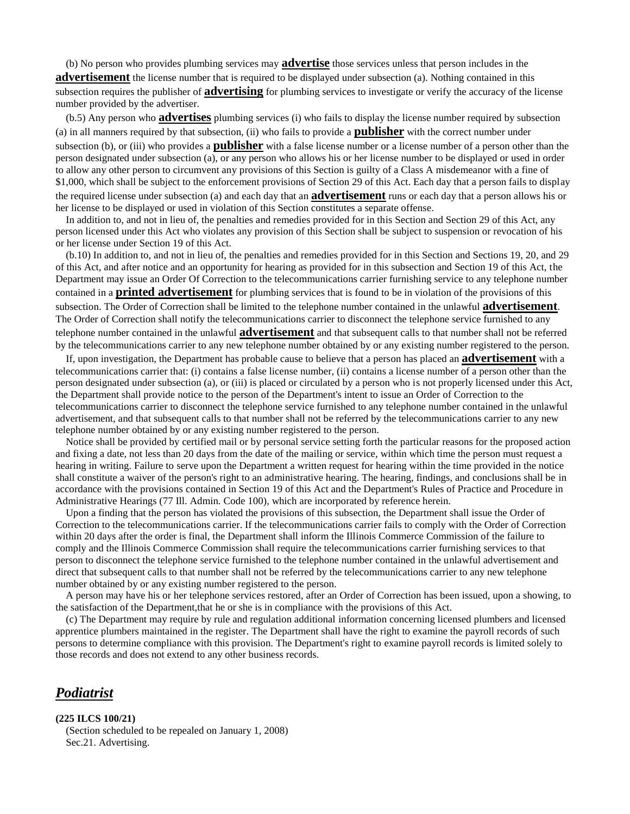(b) No person who provides plumbing services may **advertise** those services unless that person includes in the **advertisement** the license number that is required to be displayed under subsection (a). Nothing contained in this subsection requires the publisher of **advertising** for plumbing services to investigate or verify the accuracy of the license number provided by the advertiser.

 (b.5) Any person who **advertises** plumbing services (i) who fails to display the license number required by subsection (a) in all manners required by that subsection, (ii) who fails to provide a **publisher** with the correct number under subsection (b), or (iii) who provides a **publisher** with a false license number or a license number of a person other than the person designated under subsection (a), or any person who allows his or her license number to be displayed or used in order to allow any other person to circumvent any provisions of this Section is guilty of a Class A misdemeanor with a fine of \$1,000, which shall be subject to the enforcement provisions of Section 29 of this Act. Each day that a person fails to display the required license under subsection (a) and each day that an **advertisement** runs or each day that a person allows his or her license to be displayed or used in violation of this Section constitutes a separate offense.

 In addition to, and not in lieu of, the penalties and remedies provided for in this Section and Section 29 of this Act, any person licensed under this Act who violates any provision of this Section shall be subject to suspension or revocation of his or her license under Section 19 of this Act.

 (b.10) In addition to, and not in lieu of, the penalties and remedies provided for in this Section and Sections 19, 20, and 29 of this Act, and after notice and an opportunity for hearing as provided for in this subsection and Section 19 of this Act, the Department may issue an Order Of Correction to the telecommunications carrier furnishing service to any telephone number contained in a **printed advertisement** for plumbing services that is found to be in violation of the provisions of this subsection. The Order of Correction shall be limited to the telephone number contained in the unlawful **advertisement**. The Order of Correction shall notify the telecommunications carrier to disconnect the telephone service furnished to any telephone number contained in the unlawful **advertisement** and that subsequent calls to that number shall not be referred by the telecommunications carrier to any new telephone number obtained by or any existing number registered to the person.

 If, upon investigation, the Department has probable cause to believe that a person has placed an **advertisement** with a telecommunications carrier that: (i) contains a false license number, (ii) contains a license number of a person other than the person designated under subsection (a), or (iii) is placed or circulated by a person who is not properly licensed under this Act, the Department shall provide notice to the person of the Department's intent to issue an Order of Correction to the telecommunications carrier to disconnect the telephone service furnished to any telephone number contained in the unlawful advertisement, and that subsequent calls to that number shall not be referred by the telecommunications carrier to any new telephone number obtained by or any existing number registered to the person.

 Notice shall be provided by certified mail or by personal service setting forth the particular reasons for the proposed action and fixing a date, not less than 20 days from the date of the mailing or service, within which time the person must request a hearing in writing. Failure to serve upon the Department a written request for hearing within the time provided in the notice shall constitute a waiver of the person's right to an administrative hearing. The hearing, findings, and conclusions shall be in accordance with the provisions contained in Section 19 of this Act and the Department's Rules of Practice and Procedure in Administrative Hearings (77 Ill. Admin. Code 100), which are incorporated by reference herein.

 Upon a finding that the person has violated the provisions of this subsection, the Department shall issue the Order of Correction to the telecommunications carrier. If the telecommunications carrier fails to comply with the Order of Correction within 20 days after the order is final, the Department shall inform the Illinois Commerce Commission of the failure to comply and the Illinois Commerce Commission shall require the telecommunications carrier furnishing services to that person to disconnect the telephone service furnished to the telephone number contained in the unlawful advertisement and direct that subsequent calls to that number shall not be referred by the telecommunications carrier to any new telephone number obtained by or any existing number registered to the person.

 A person may have his or her telephone services restored, after an Order of Correction has been issued, upon a showing, to the satisfaction of the Department,that he or she is in compliance with the provisions of this Act.

 (c) The Department may require by rule and regulation additional information concerning licensed plumbers and licensed apprentice plumbers maintained in the register. The Department shall have the right to examine the payroll records of such persons to determine compliance with this provision. The Department's right to examine payroll records is limited solely to those records and does not extend to any other business records.

### <span id="page-22-0"></span>*Podiatrist*

#### **(225 ILCS 100/21)**

 (Section scheduled to be repealed on January 1, 2008) Sec.21. Advertising.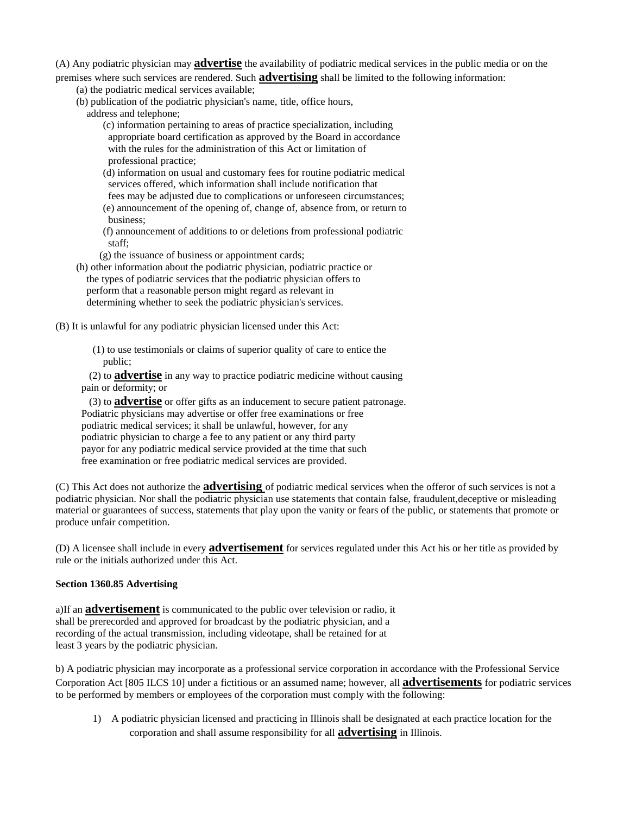(A) Any podiatric physician may **advertise** the availability of podiatric medical services in the public media or on the premises where such services are rendered. Such **advertising** shall be limited to the following information:

- (a) the podiatric medical services available;
- (b) publication of the podiatric physician's name, title, office hours,
	- address and telephone;

 (c) information pertaining to areas of practice specialization, including appropriate board certification as approved by the Board in accordance with the rules for the administration of this Act or limitation of professional practice;

 (d) information on usual and customary fees for routine podiatric medical services offered, which information shall include notification that fees may be adjusted due to complications or unforeseen circumstances; (e) announcement of the opening of, change of, absence from, or return to business;

 (f) announcement of additions to or deletions from professional podiatric staff;

(g) the issuance of business or appointment cards;

 (h) other information about the podiatric physician, podiatric practice or the types of podiatric services that the podiatric physician offers to perform that a reasonable person might regard as relevant in determining whether to seek the podiatric physician's services.

(B) It is unlawful for any podiatric physician licensed under this Act:

(1) to use testimonials or claims of superior quality of care to entice the public;

 (2) to **advertise** in any way to practice podiatric medicine without causing pain or deformity; or

 (3) to **advertise** or offer gifts as an inducement to secure patient patronage. Podiatric physicians may advertise or offer free examinations or free podiatric medical services; it shall be unlawful, however, for any podiatric physician to charge a fee to any patient or any third party payor for any podiatric medical service provided at the time that such free examination or free podiatric medical services are provided.

(C) This Act does not authorize the **advertising** of podiatric medical services when the offeror of such services is not a podiatric physician. Nor shall the podiatric physician use statements that contain false, fraudulent,deceptive or misleading material or guarantees of success, statements that play upon the vanity or fears of the public, or statements that promote or produce unfair competition.

(D) A licensee shall include in every **advertisement** for services regulated under this Act his or her title as provided by rule or the initials authorized under this Act.

#### **Section 1360.85 Advertising**

a)If an **advertisement** is communicated to the public over television or radio, it shall be prerecorded and approved for broadcast by the podiatric physician, and a recording of the actual transmission, including videotape, shall be retained for at least 3 years by the podiatric physician.

b) A podiatric physician may incorporate as a professional service corporation in accordance with the Professional Service Corporation Act [805 ILCS 10] under a fictitious or an assumed name; however, all **advertisements** for podiatric services to be performed by members or employees of the corporation must comply with the following:

1) A podiatric physician licensed and practicing in Illinois shall be designated at each practice location for the corporation and shall assume responsibility for all **advertising** in Illinois.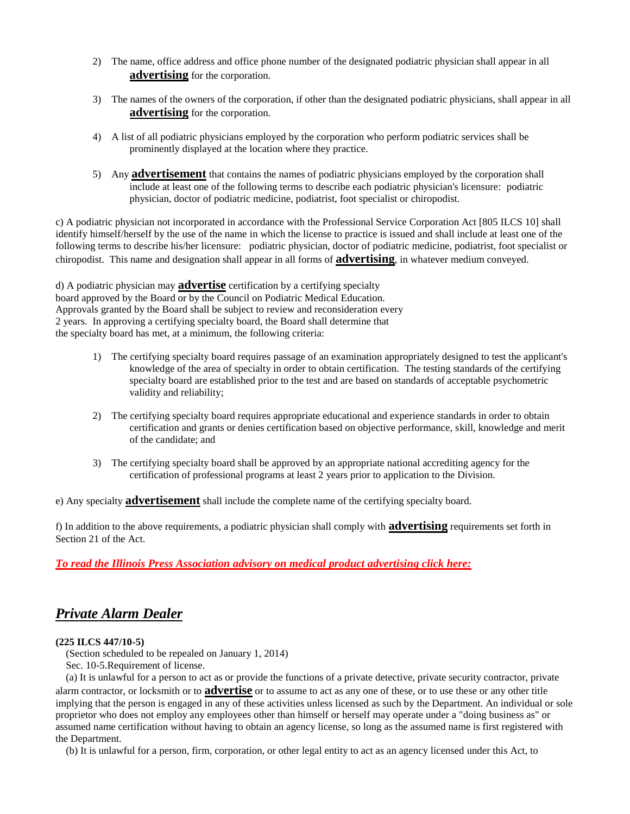- 2) The name, office address and office phone number of the designated podiatric physician shall appear in all **advertising** for the corporation.
- 3) The names of the owners of the corporation, if other than the designated podiatric physicians, shall appear in all **advertising** for the corporation.
- 4) A list of all podiatric physicians employed by the corporation who perform podiatric services shall be prominently displayed at the location where they practice.
- 5) Any **advertisement** that contains the names of podiatric physicians employed by the corporation shall include at least one of the following terms to describe each podiatric physician's licensure: podiatric physician, doctor of podiatric medicine, podiatrist, foot specialist or chiropodist.

c) A podiatric physician not incorporated in accordance with the Professional Service Corporation Act [805 ILCS 10] shall identify himself/herself by the use of the name in which the license to practice is issued and shall include at least one of the following terms to describe his/her licensure: podiatric physician, doctor of podiatric medicine, podiatrist, foot specialist or chiropodist. This name and designation shall appear in all forms of **advertising**, in whatever medium conveyed.

d) A podiatric physician may **advertise** certification by a certifying specialty board approved by the Board or by the Council on Podiatric Medical Education. Approvals granted by the Board shall be subject to review and reconsideration every 2 years. In approving a certifying specialty board, the Board shall determine that the specialty board has met, at a minimum, the following criteria:

- 1) The certifying specialty board requires passage of an examination appropriately designed to test the applicant's knowledge of the area of specialty in order to obtain certification. The testing standards of the certifying specialty board are established prior to the test and are based on standards of acceptable psychometric validity and reliability;
- 2) The certifying specialty board requires appropriate educational and experience standards in order to obtain certification and grants or denies certification based on objective performance, skill, knowledge and merit of the candidate; and
- 3) The certifying specialty board shall be approved by an appropriate national accrediting agency for the certification of professional programs at least 2 years prior to application to the Division.

e) Any specialty **advertisement** shall include the complete name of the certifying specialty board.

f) In addition to the above requirements, a podiatric physician shall comply with **advertising** requirements set forth in Section 21 of the Act.

*To read the Illinois Press Association advisory on medical product advertising click here:*

# <span id="page-24-0"></span>*Private Alarm Dealer*

### **(225 ILCS 447/10-5)**

(Section scheduled to be repealed on January 1, 2014)

Sec. 10-5.Requirement of license.

 (a) It is unlawful for a person to act as or provide the functions of a private detective, private security contractor, private alarm contractor, or locksmith or to **advertise** or to assume to act as any one of these, or to use these or any other title implying that the person is engaged in any of these activities unless licensed as such by the Department. An individual or sole proprietor who does not employ any employees other than himself or herself may operate under a "doing business as" or assumed name certification without having to obtain an agency license, so long as the assumed name is first registered with the Department.

(b) It is unlawful for a person, firm, corporation, or other legal entity to act as an agency licensed under this Act, to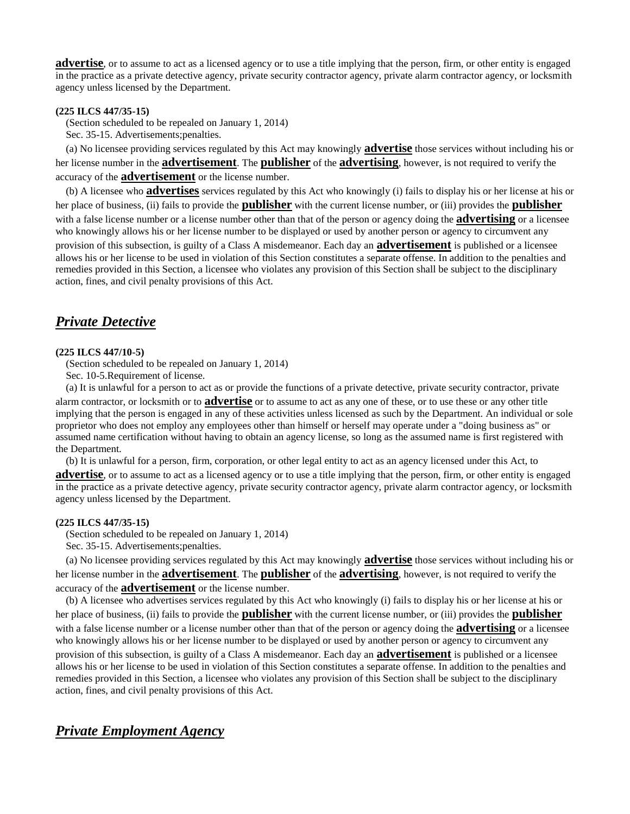**advertise**, or to assume to act as a licensed agency or to use a title implying that the person, firm, or other entity is engaged in the practice as a private detective agency, private security contractor agency, private alarm contractor agency, or locksmith agency unless licensed by the Department.

#### **(225 ILCS 447/35-15)**

(Section scheduled to be repealed on January 1, 2014)

Sec. 35-15. Advertisements;penalties.

 (a) No licensee providing services regulated by this Act may knowingly **advertise** those services without including his or her license number in the **advertisement**. The **publisher** of the **advertising**, however, is not required to verify the accuracy of the **advertisement** or the license number.

 (b) A licensee who **advertises** services regulated by this Act who knowingly (i) fails to display his or her license at his or her place of business, (ii) fails to provide the **publisher** with the current license number, or (iii) provides the **publisher** with a false license number or a license number other than that of the person or agency doing the **advertising** or a licensee who knowingly allows his or her license number to be displayed or used by another person or agency to circumvent any provision of this subsection, is guilty of a Class A misdemeanor. Each day an **advertisement** is published or a licensee allows his or her license to be used in violation of this Section constitutes a separate offense. In addition to the penalties and remedies provided in this Section, a licensee who violates any provision of this Section shall be subject to the disciplinary action, fines, and civil penalty provisions of this Act.

## <span id="page-25-0"></span>*Private Detective*

#### **(225 ILCS 447/10-5)**

(Section scheduled to be repealed on January 1, 2014)

Sec. 10-5.Requirement of license.

 (a) It is unlawful for a person to act as or provide the functions of a private detective, private security contractor, private alarm contractor, or locksmith or to **advertise** or to assume to act as any one of these, or to use these or any other title implying that the person is engaged in any of these activities unless licensed as such by the Department. An individual or sole proprietor who does not employ any employees other than himself or herself may operate under a "doing business as" or assumed name certification without having to obtain an agency license, so long as the assumed name is first registered with the Department.

(b) It is unlawful for a person, firm, corporation, or other legal entity to act as an agency licensed under this Act, to

**advertise**, or to assume to act as a licensed agency or to use a title implying that the person, firm, or other entity is engaged in the practice as a private detective agency, private security contractor agency, private alarm contractor agency, or locksmith agency unless licensed by the Department.

#### **(225 ILCS 447/35-15)**

(Section scheduled to be repealed on January 1, 2014)

Sec. 35-15. Advertisements;penalties.

 (a) No licensee providing services regulated by this Act may knowingly **advertise** those services without including his or her license number in the **advertisement**. The **publisher** of the **advertising**, however, is not required to verify the accuracy of the **advertisement** or the license number.

 (b) A licensee who advertises services regulated by this Act who knowingly (i) fails to display his or her license at his or her place of business, (ii) fails to provide the **publisher** with the current license number, or (iii) provides the **publisher** with a false license number or a license number other than that of the person or agency doing the **advertising** or a licensee who knowingly allows his or her license number to be displayed or used by another person or agency to circumvent any provision of this subsection, is guilty of a Class A misdemeanor. Each day an **advertisement** is published or a licensee allows his or her license to be used in violation of this Section constitutes a separate offense. In addition to the penalties and remedies provided in this Section, a licensee who violates any provision of this Section shall be subject to the disciplinary action, fines, and civil penalty provisions of this Act.

### <span id="page-25-1"></span>*Private Employment Agency*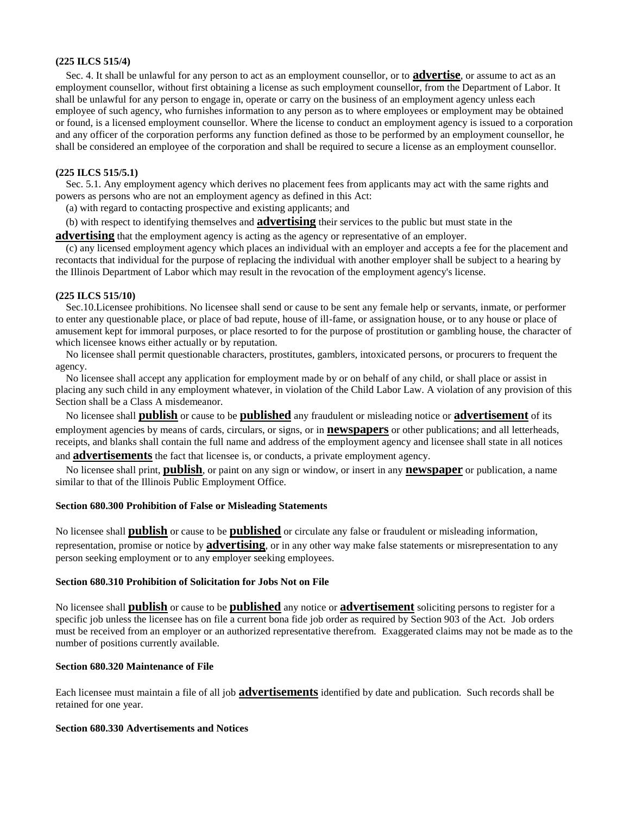#### **(225 ILCS 515/4)**

 Sec. 4. It shall be unlawful for any person to act as an employment counsellor, or to **advertise**, or assume to act as an employment counsellor, without first obtaining a license as such employment counsellor, from the Department of Labor. It shall be unlawful for any person to engage in, operate or carry on the business of an employment agency unless each employee of such agency, who furnishes information to any person as to where employees or employment may be obtained or found, is a licensed employment counsellor. Where the license to conduct an employment agency is issued to a corporation and any officer of the corporation performs any function defined as those to be performed by an employment counsellor, he shall be considered an employee of the corporation and shall be required to secure a license as an employment counsellor.

#### **(225 ILCS 515/5.1)**

 Sec. 5.1. Any employment agency which derives no placement fees from applicants may act with the same rights and powers as persons who are not an employment agency as defined in this Act:

(a) with regard to contacting prospective and existing applicants; and

(b) with respect to identifying themselves and **advertising** their services to the public but must state in the

**advertising** that the employment agency is acting as the agency or representative of an employer.

 (c) any licensed employment agency which places an individual with an employer and accepts a fee for the placement and recontacts that individual for the purpose of replacing the individual with another employer shall be subject to a hearing by the Illinois Department of Labor which may result in the revocation of the employment agency's license.

#### **(225 ILCS 515/10)**

 Sec.10.Licensee prohibitions. No licensee shall send or cause to be sent any female help or servants, inmate, or performer to enter any questionable place, or place of bad repute, house of ill-fame, or assignation house, or to any house or place of amusement kept for immoral purposes, or place resorted to for the purpose of prostitution or gambling house, the character of which licensee knows either actually or by reputation.

 No licensee shall permit questionable characters, prostitutes, gamblers, intoxicated persons, or procurers to frequent the agency.

 No licensee shall accept any application for employment made by or on behalf of any child, or shall place or assist in placing any such child in any employment whatever, in violation of the Child Labor Law. A violation of any provision of this Section shall be a Class A misdemeanor.

 No licensee shall **publish** or cause to be **published** any fraudulent or misleading notice or **advertisement** of its employment agencies by means of cards, circulars, or signs, or in **newspapers** or other publications; and all letterheads, receipts, and blanks shall contain the full name and address of the employment agency and licensee shall state in all notices and **advertisements** the fact that licensee is, or conducts, a private employment agency.

 No licensee shall print, **publish**, or paint on any sign or window, or insert in any **newspaper** or publication, a name similar to that of the Illinois Public Employment Office.

#### **Section 680.300 Prohibition of False or Misleading Statements**

No licensee shall **publish** or cause to be **published** or circulate any false or fraudulent or misleading information, representation, promise or notice by **advertising**, or in any other way make false statements or misrepresentation to any person seeking employment or to any employer seeking employees.

#### **Section 680.310 Prohibition of Solicitation for Jobs Not on File**

No licensee shall **publish** or cause to be **published** any notice or **advertisement** soliciting persons to register for a specific job unless the licensee has on file a current bona fide job order as required by Section 903 of the Act. Job orders must be received from an employer or an authorized representative therefrom. Exaggerated claims may not be made as to the number of positions currently available.

#### **Section 680.320 Maintenance of File**

Each licensee must maintain a file of all job **advertisements** identified by date and publication. Such records shall be retained for one year.

#### **Section 680.330 Advertisements and Notices**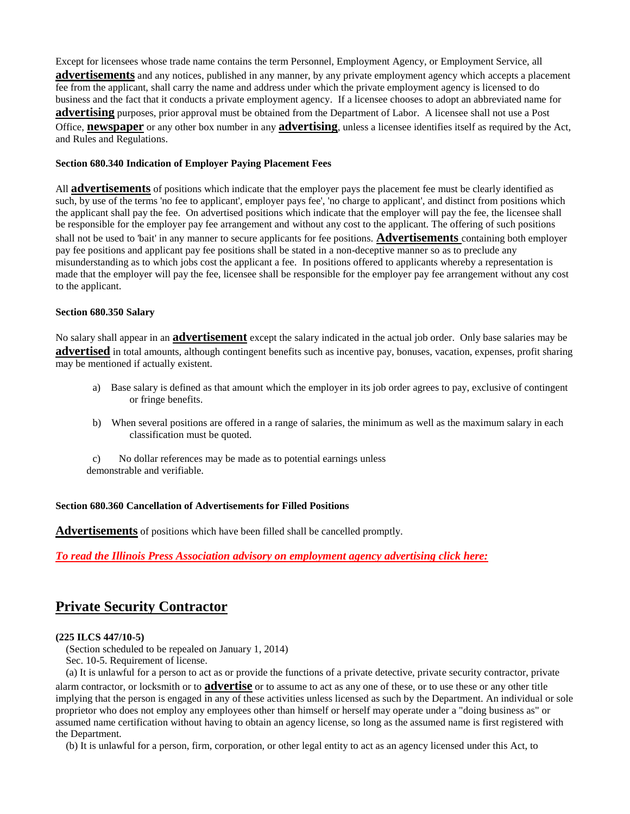Except for licensees whose trade name contains the term Personnel, Employment Agency, or Employment Service, all **advertisements** and any notices, published in any manner, by any private employment agency which accepts a placement fee from the applicant, shall carry the name and address under which the private employment agency is licensed to do business and the fact that it conducts a private employment agency. If a licensee chooses to adopt an abbreviated name for **advertising** purposes, prior approval must be obtained from the Department of Labor. A licensee shall not use a Post Office, **newspaper** or any other box number in any **advertising**, unless a licensee identifies itself as required by the Act, and Rules and Regulations.

#### **Section 680.340 Indication of Employer Paying Placement Fees**

All **advertisements** of positions which indicate that the employer pays the placement fee must be clearly identified as such, by use of the terms 'no fee to applicant', employer pays fee', 'no charge to applicant', and distinct from positions which the applicant shall pay the fee. On advertised positions which indicate that the employer will pay the fee, the licensee shall be responsible for the employer pay fee arrangement and without any cost to the applicant. The offering of such positions shall not be used to 'bait' in any manner to secure applicants for fee positions. **Advertisements** containing both employer pay fee positions and applicant pay fee positions shall be stated in a non-deceptive manner so as to preclude any misunderstanding as to which jobs cost the applicant a fee. In positions offered to applicants whereby a representation is made that the employer will pay the fee, licensee shall be responsible for the employer pay fee arrangement without any cost to the applicant.

#### **Section 680.350 Salary**

No salary shall appear in an **advertisement** except the salary indicated in the actual job order. Only base salaries may be **advertised** in total amounts, although contingent benefits such as incentive pay, bonuses, vacation, expenses, profit sharing may be mentioned if actually existent.

- a) Base salary is defined as that amount which the employer in its job order agrees to pay, exclusive of contingent or fringe benefits.
- b) When several positions are offered in a range of salaries, the minimum as well as the maximum salary in each classification must be quoted.
- c) No dollar references may be made as to potential earnings unless demonstrable and verifiable.

#### **Section 680.360 Cancellation of Advertisements for Filled Positions**

**Advertisements** of positions which have been filled shall be cancelled promptly.

*To read the Illinois Press Association advisory on employment agency advertising click here:*

# <span id="page-27-0"></span>**Private Security Contractor**

#### **(225 ILCS 447/10-5)**

(Section scheduled to be repealed on January 1, 2014)

Sec. 10-5. Requirement of license.

 (a) It is unlawful for a person to act as or provide the functions of a private detective, private security contractor, private alarm contractor, or locksmith or to **advertise** or to assume to act as any one of these, or to use these or any other title implying that the person is engaged in any of these activities unless licensed as such by the Department. An individual or sole proprietor who does not employ any employees other than himself or herself may operate under a "doing business as" or assumed name certification without having to obtain an agency license, so long as the assumed name is first registered with the Department.

(b) It is unlawful for a person, firm, corporation, or other legal entity to act as an agency licensed under this Act, to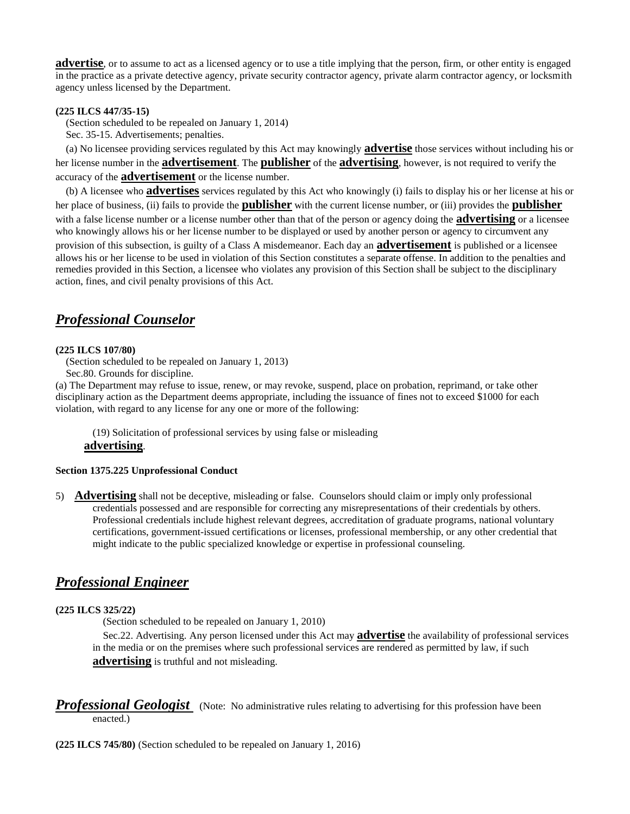**advertise**, or to assume to act as a licensed agency or to use a title implying that the person, firm, or other entity is engaged in the practice as a private detective agency, private security contractor agency, private alarm contractor agency, or locksmith agency unless licensed by the Department.

#### **(225 ILCS 447/35-15)**

(Section scheduled to be repealed on January 1, 2014)

Sec. 35-15. Advertisements; penalties.

 (a) No licensee providing services regulated by this Act may knowingly **advertise** those services without including his or her license number in the **advertisement**. The **publisher** of the **advertising**, however, is not required to verify the accuracy of the **advertisement** or the license number.

 (b) A licensee who **advertises** services regulated by this Act who knowingly (i) fails to display his or her license at his or her place of business, (ii) fails to provide the **publisher** with the current license number, or (iii) provides the **publisher** with a false license number or a license number other than that of the person or agency doing the **advertising** or a licensee who knowingly allows his or her license number to be displayed or used by another person or agency to circumvent any provision of this subsection, is guilty of a Class A misdemeanor. Each day an **advertisement** is published or a licensee allows his or her license to be used in violation of this Section constitutes a separate offense. In addition to the penalties and remedies provided in this Section, a licensee who violates any provision of this Section shall be subject to the disciplinary action, fines, and civil penalty provisions of this Act.

### <span id="page-28-0"></span>*Professional Counselor*

#### **(225 ILCS 107/80)**

(Section scheduled to be repealed on January 1, 2013)

Sec.80. Grounds for discipline.

(a) The Department may refuse to issue, renew, or may revoke, suspend, place on probation, reprimand, or take other disciplinary action as the Department deems appropriate, including the issuance of fines not to exceed \$1000 for each violation, with regard to any license for any one or more of the following:

(19) Solicitation of professional services by using false or misleading **advertising**.

#### **Section 1375.225 Unprofessional Conduct**

5) **Advertising** shall not be deceptive, misleading or false. Counselors should claim or imply only professional credentials possessed and are responsible for correcting any misrepresentations of their credentials by others. Professional credentials include highest relevant degrees, accreditation of graduate programs, national voluntary certifications, government-issued certifications or licenses, professional membership, or any other credential that might indicate to the public specialized knowledge or expertise in professional counseling.

### <span id="page-28-1"></span>*Professional Engineer*

#### **(225 ILCS 325/22)**

(Section scheduled to be repealed on January 1, 2010)

 Sec.22. Advertising. Any person licensed under this Act may **advertise** the availability of professional services in the media or on the premises where such professional services are rendered as permitted by law, if such **advertising** is truthful and not misleading.

<span id="page-28-2"></span>**Professional Geologist** (Note: No administrative rules relating to advertising for this profession have been enacted.)

**(225 ILCS 745/80)** (Section scheduled to be repealed on January 1, 2016)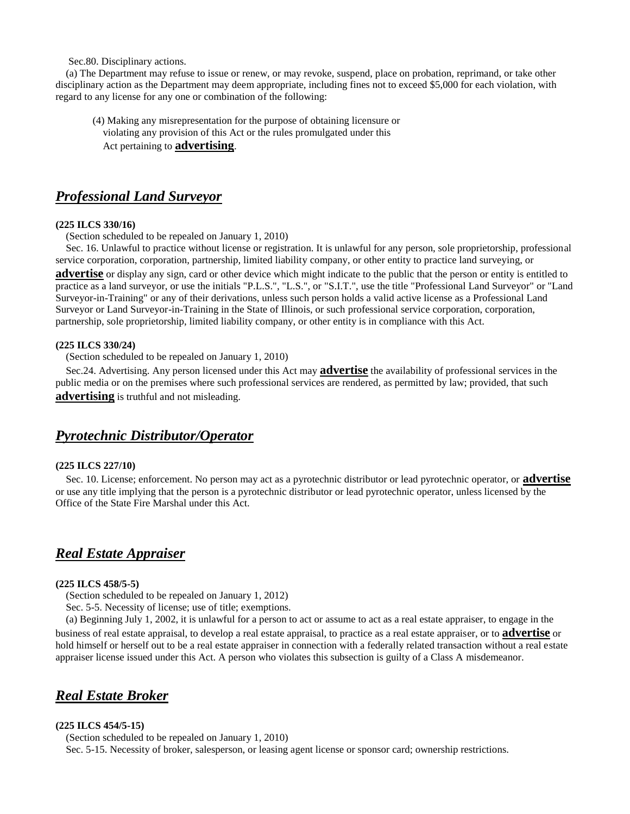Sec.80. Disciplinary actions.

 (a) The Department may refuse to issue or renew, or may revoke, suspend, place on probation, reprimand, or take other disciplinary action as the Department may deem appropriate, including fines not to exceed \$5,000 for each violation, with regard to any license for any one or combination of the following:

(4) Making any misrepresentation for the purpose of obtaining licensure or violating any provision of this Act or the rules promulgated under this Act pertaining to **advertising**.

### <span id="page-29-0"></span>*Professional Land Surveyor*

#### **(225 ILCS 330/16)**

(Section scheduled to be repealed on January 1, 2010)

 Sec. 16. Unlawful to practice without license or registration. It is unlawful for any person, sole proprietorship, professional service corporation, corporation, partnership, limited liability company, or other entity to practice land surveying, or **advertise** or display any sign, card or other device which might indicate to the public that the person or entity is entitled to practice as a land surveyor, or use the initials "P.L.S.", "L.S.", or "S.I.T.", use the title "Professional Land Surveyor" or "Land Surveyor-in-Training" or any of their derivations, unless such person holds a valid active license as a Professional Land Surveyor or Land Surveyor-in-Training in the State of Illinois, or such professional service corporation, corporation, partnership, sole proprietorship, limited liability company, or other entity is in compliance with this Act.

#### **(225 ILCS 330/24)**

(Section scheduled to be repealed on January 1, 2010)

 Sec.24. Advertising. Any person licensed under this Act may **advertise** the availability of professional services in the public media or on the premises where such professional services are rendered, as permitted by law; provided, that such **advertising** is truthful and not misleading.

### <span id="page-29-1"></span>*Pyrotechnic Distributor/Operator*

#### **(225 ILCS 227/10)**

 Sec. 10. License; enforcement. No person may act as a pyrotechnic distributor or lead pyrotechnic operator, or **advertise** or use any title implying that the person is a pyrotechnic distributor or lead pyrotechnic operator, unless licensed by the Office of the State Fire Marshal under this Act.

### <span id="page-29-2"></span>*Real Estate Appraiser*

#### **(225 ILCS 458/5-5)**

(Section scheduled to be repealed on January 1, 2012)

Sec. 5-5. Necessity of license; use of title; exemptions.

 (a) Beginning July 1, 2002, it is unlawful for a person to act or assume to act as a real estate appraiser, to engage in the business of real estate appraisal, to develop a real estate appraisal, to practice as a real estate appraiser, or to **advertise** or hold himself or herself out to be a real estate appraiser in connection with a federally related transaction without a real estate appraiser license issued under this Act. A person who violates this subsection is guilty of a Class A misdemeanor.

## <span id="page-29-3"></span>*Real Estate Broker*

#### **(225 ILCS 454/5-15)**

 (Section scheduled to be repealed on January 1, 2010) Sec. 5-15. Necessity of broker, salesperson, or leasing agent license or sponsor card; ownership restrictions.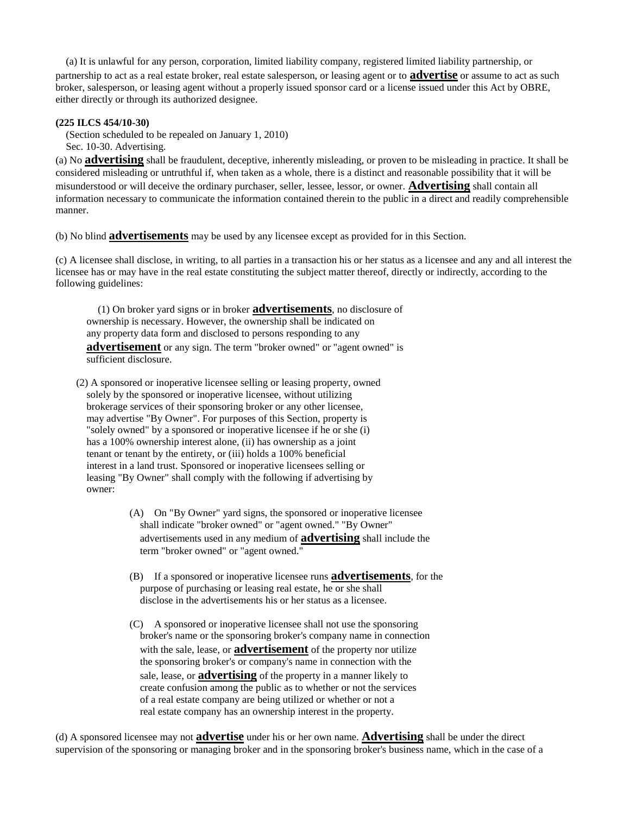(a) It is unlawful for any person, corporation, limited liability company, registered limited liability partnership, or partnership to act as a real estate broker, real estate salesperson, or leasing agent or to **advertise** or assume to act as such broker, salesperson, or leasing agent without a properly issued sponsor card or a license issued under this Act by OBRE, either directly or through its authorized designee.

#### **(225 ILCS 454/10-30)**

 (Section scheduled to be repealed on January 1, 2010) Sec. 10-30. Advertising.

(a) No **advertising** shall be fraudulent, deceptive, inherently misleading, or proven to be misleading in practice. It shall be considered misleading or untruthful if, when taken as a whole, there is a distinct and reasonable possibility that it will be misunderstood or will deceive the ordinary purchaser, seller, lessee, lessor, or owner. **Advertising** shall contain all information necessary to communicate the information contained therein to the public in a direct and readily comprehensible manner.

(b) No blind **advertisements** may be used by any licensee except as provided for in this Section.

(c) A licensee shall disclose, in writing, to all parties in a transaction his or her status as a licensee and any and all interest the licensee has or may have in the real estate constituting the subject matter thereof, directly or indirectly, according to the following guidelines:

 (1) On broker yard signs or in broker **advertisements**, no disclosure of ownership is necessary. However, the ownership shall be indicated on any property data form and disclosed to persons responding to any **advertisement** or any sign. The term "broker owned" or "agent owned" is sufficient disclosure.

 (2) A sponsored or inoperative licensee selling or leasing property, owned solely by the sponsored or inoperative licensee, without utilizing brokerage services of their sponsoring broker or any other licensee, may advertise "By Owner". For purposes of this Section, property is "solely owned" by a sponsored or inoperative licensee if he or she (i) has a 100% ownership interest alone, (ii) has ownership as a joint tenant or tenant by the entirety, or (iii) holds a 100% beneficial interest in a land trust. Sponsored or inoperative licensees selling or leasing "By Owner" shall comply with the following if advertising by owner:

- (A) On "By Owner" yard signs, the sponsored or inoperative licensee shall indicate "broker owned" or "agent owned." "By Owner" advertisements used in any medium of **advertising** shall include the term "broker owned" or "agent owned."
- (B) If a sponsored or inoperative licensee runs **advertisements**, for the purpose of purchasing or leasing real estate, he or she shall disclose in the advertisements his or her status as a licensee.
- (C) A sponsored or inoperative licensee shall not use the sponsoring broker's name or the sponsoring broker's company name in connection with the sale, lease, or **advertisement** of the property nor utilize the sponsoring broker's or company's name in connection with the sale, lease, or **advertising** of the property in a manner likely to create confusion among the public as to whether or not the services of a real estate company are being utilized or whether or not a real estate company has an ownership interest in the property.

(d) A sponsored licensee may not **advertise** under his or her own name. **Advertising** shall be under the direct supervision of the sponsoring or managing broker and in the sponsoring broker's business name, which in the case of a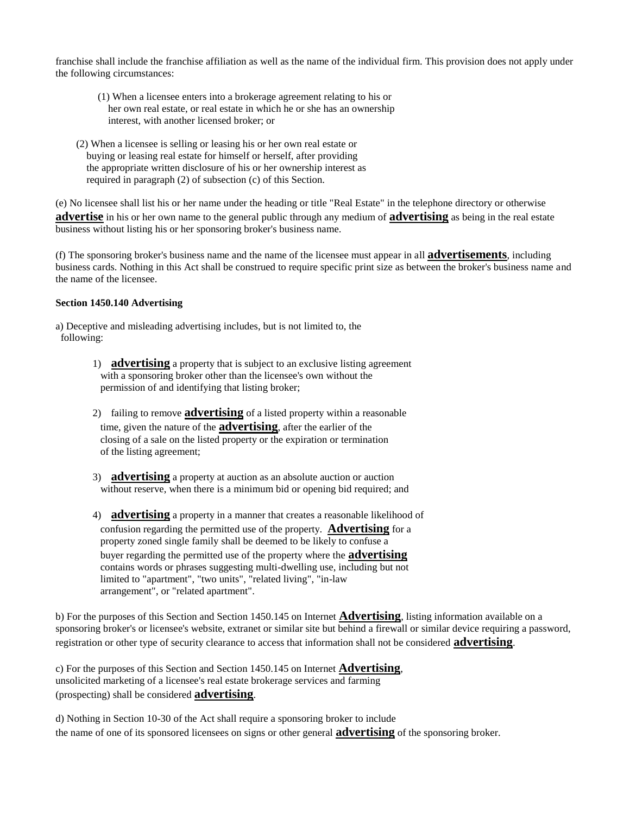franchise shall include the franchise affiliation as well as the name of the individual firm. This provision does not apply under the following circumstances:

- (1) When a licensee enters into a brokerage agreement relating to his or her own real estate, or real estate in which he or she has an ownership interest, with another licensed broker; or
- (2) When a licensee is selling or leasing his or her own real estate or buying or leasing real estate for himself or herself, after providing the appropriate written disclosure of his or her ownership interest as required in paragraph (2) of subsection (c) of this Section.

(e) No licensee shall list his or her name under the heading or title "Real Estate" in the telephone directory or otherwise **advertise** in his or her own name to the general public through any medium of **advertising** as being in the real estate business without listing his or her sponsoring broker's business name.

(f) The sponsoring broker's business name and the name of the licensee must appear in all **advertisements**, including business cards. Nothing in this Act shall be construed to require specific print size as between the broker's business name and the name of the licensee.

#### **Section 1450.140 Advertising**

a) Deceptive and misleading advertising includes, but is not limited to, the following:

- 1) **advertising** a property that is subject to an exclusive listing agreement with a sponsoring broker other than the licensee's own without the permission of and identifying that listing broker;
- 2) failing to remove **advertising** of a listed property within a reasonable time, given the nature of the **advertising**, after the earlier of the closing of a sale on the listed property or the expiration or termination of the listing agreement;
- 3) **advertising** a property at auction as an absolute auction or auction without reserve, when there is a minimum bid or opening bid required; and
- 4) **advertising** a property in a manner that creates a reasonable likelihood of confusion regarding the permitted use of the property. **Advertising** for a property zoned single family shall be deemed to be likely to confuse a buyer regarding the permitted use of the property where the **advertising** contains words or phrases suggesting multi-dwelling use, including but not limited to "apartment", "two units", "related living", "in-law arrangement", or "related apartment".

b) For the purposes of this Section and Section 1450.145 on Internet **Advertising**, listing information available on a sponsoring broker's or licensee's website, extranet or similar site but behind a firewall or similar device requiring a password, registration or other type of security clearance to access that information shall not be considered **advertising**.

c) For the purposes of this Section and Section 1450.145 on Internet **Advertising**, unsolicited marketing of a licensee's real estate brokerage services and farming (prospecting) shall be considered **advertising**.

d) Nothing in Section 10-30 of the Act shall require a sponsoring broker to include the name of one of its sponsored licensees on signs or other general **advertising** of the sponsoring broker.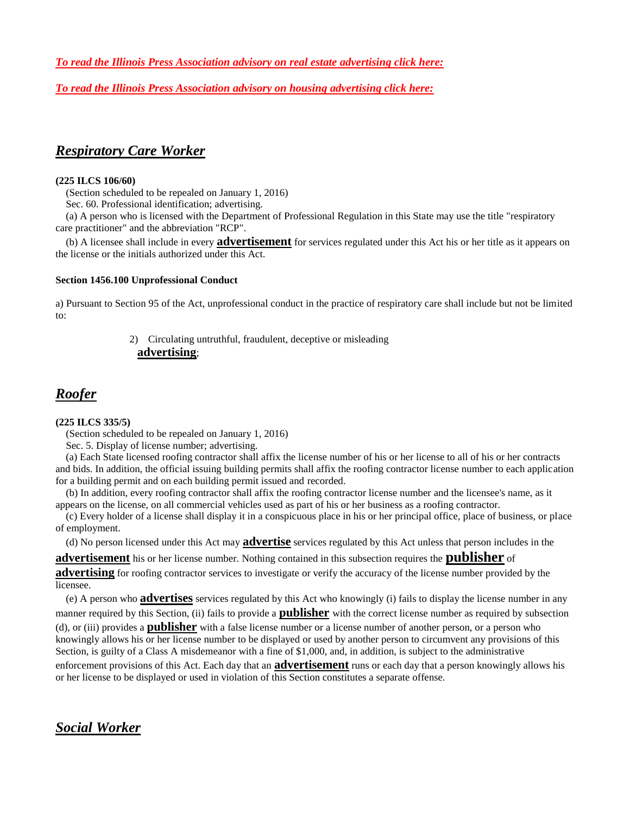*To read the Illinois Press Association advisory on real estate advertising click here:*

*To read the Illinois Press Association advisory on housing advertising click here:*

# <span id="page-32-0"></span>*Respiratory Care Worker*

#### **(225 ILCS 106/60)**

(Section scheduled to be repealed on January 1, 2016)

Sec. 60. Professional identification; advertising.

 (a) A person who is licensed with the Department of Professional Regulation in this State may use the title "respiratory care practitioner" and the abbreviation "RCP".

 (b) A licensee shall include in every **advertisement** for services regulated under this Act his or her title as it appears on the license or the initials authorized under this Act.

#### **Section 1456.100 Unprofessional Conduct**

a) Pursuant to Section 95 of the Act, unprofessional conduct in the practice of respiratory care shall include but not be limited to:

### 2) Circulating untruthful, fraudulent, deceptive or misleading **advertising**;

# <span id="page-32-1"></span>*Roofer*

#### **(225 ILCS 335/5)**

(Section scheduled to be repealed on January 1, 2016)

Sec. 5. Display of license number; advertising.

 (a) Each State licensed roofing contractor shall affix the license number of his or her license to all of his or her contracts and bids. In addition, the official issuing building permits shall affix the roofing contractor license number to each application for a building permit and on each building permit issued and recorded.

 (b) In addition, every roofing contractor shall affix the roofing contractor license number and the licensee's name, as it appears on the license, on all commercial vehicles used as part of his or her business as a roofing contractor.

 (c) Every holder of a license shall display it in a conspicuous place in his or her principal office, place of business, or place of employment.

(d) No person licensed under this Act may **advertise** services regulated by this Act unless that person includes in the

**advertisement** his or her license number. Nothing contained in this subsection requires the **publisher** of

**advertising** for roofing contractor services to investigate or verify the accuracy of the license number provided by the licensee.

 (e) A person who **advertises** services regulated by this Act who knowingly (i) fails to display the license number in any manner required by this Section, (ii) fails to provide a **publisher** with the correct license number as required by subsection (d), or (iii) provides a **publisher** with a false license number or a license number of another person, or a person who knowingly allows his or her license number to be displayed or used by another person to circumvent any provisions of this Section, is guilty of a Class A misdemeanor with a fine of \$1,000, and, in addition, is subject to the administrative enforcement provisions of this Act. Each day that an **advertisement** runs or each day that a person knowingly allows his or her license to be displayed or used in violation of this Section constitutes a separate offense.

# <span id="page-32-2"></span>*Social Worker*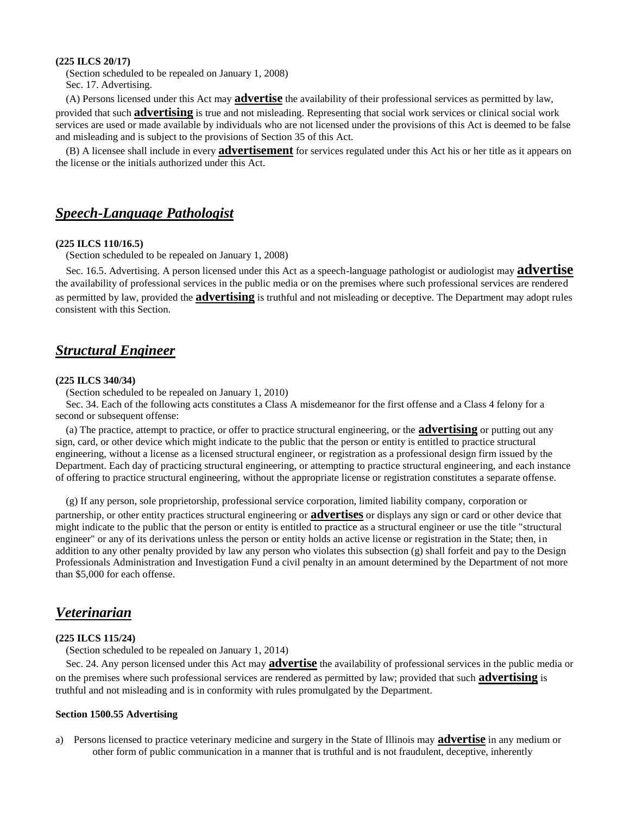#### **(225 ILCS 20/17)**

 (Section scheduled to be repealed on January 1, 2008) Sec. 17. Advertising.

 (A) Persons licensed under this Act may **advertise** the availability of their professional services as permitted by law, provided that such **advertising** is true and not misleading. Representing that social work services or clinical social work services are used or made available by individuals who are not licensed under the provisions of this Act is deemed to be false and misleading and is subject to the provisions of Section 35 of this Act.

 (B) A licensee shall include in every **advertisement** for services regulated under this Act his or her title as it appears on the license or the initials authorized under this Act.

### <span id="page-33-0"></span>*Speech-Language Pathologist*

#### **(225 ILCS 110/16.5)**

(Section scheduled to be repealed on January 1, 2008)

 Sec. 16.5. Advertising. A person licensed under this Act as a speech-language pathologist or audiologist may **advertise** the availability of professional services in the public media or on the premises where such professional services are rendered as permitted by law, provided the **advertising** is truthful and not misleading or deceptive. The Department may adopt rules consistent with this Section.

### <span id="page-33-1"></span>*Structural Engineer*

#### **(225 ILCS 340/34)**

(Section scheduled to be repealed on January 1, 2010)

 Sec. 34. Each of the following acts constitutes a Class A misdemeanor for the first offense and a Class 4 felony for a second or subsequent offense:

 (a) The practice, attempt to practice, or offer to practice structural engineering, or the **advertising** or putting out any sign, card, or other device which might indicate to the public that the person or entity is entitled to practice structural engineering, without a license as a licensed structural engineer, or registration as a professional design firm issued by the Department. Each day of practicing structural engineering, or attempting to practice structural engineering, and each instance of offering to practice structural engineering, without the appropriate license or registration constitutes a separate offense.

(g) If any person, sole proprietorship, professional service corporation, limited liability company, corporation or

partnership, or other entity practices structural engineering or **advertises** or displays any sign or card or other device that might indicate to the public that the person or entity is entitled to practice as a structural engineer or use the title "structural engineer" or any of its derivations unless the person or entity holds an active license or registration in the State; then, in addition to any other penalty provided by law any person who violates this subsection (g) shall forfeit and pay to the Design Professionals Administration and Investigation Fund a civil penalty in an amount determined by the Department of not more than \$5,000 for each offense.

### <span id="page-33-2"></span>*Veterinarian*

#### **(225 ILCS 115/24)**

(Section scheduled to be repealed on January 1, 2014)

 Sec. 24. Any person licensed under this Act may **advertise** the availability of professional services in the public media or on the premises where such professional services are rendered as permitted by law; provided that such **advertising** is truthful and not misleading and is in conformity with rules promulgated by the Department.

#### **Section 1500.55 Advertising**

a) Persons licensed to practice veterinary medicine and surgery in the State of Illinois may **advertise** in any medium or other form of public communication in a manner that is truthful and is not fraudulent, deceptive, inherently